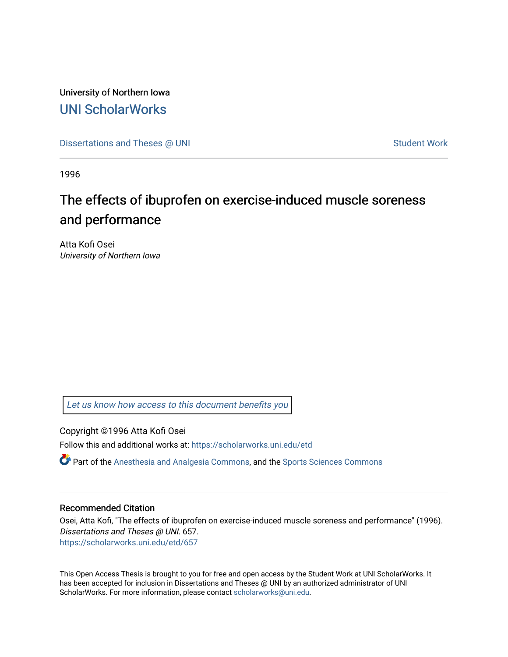University of Northern Iowa [UNI ScholarWorks](https://scholarworks.uni.edu/) 

[Dissertations and Theses @ UNI](https://scholarworks.uni.edu/etd) Student Work

1996

# The effects of ibuprofen on exercise-induced muscle soreness and performance

Atta Kofi Osei University of Northern Iowa

[Let us know how access to this document benefits you](https://scholarworks.uni.edu/feedback_form.html) 

Copyright ©1996 Atta Kofi Osei

Follow this and additional works at: [https://scholarworks.uni.edu/etd](https://scholarworks.uni.edu/etd?utm_source=scholarworks.uni.edu%2Fetd%2F657&utm_medium=PDF&utm_campaign=PDFCoverPages) 

Part of the [Anesthesia and Analgesia Commons,](http://network.bepress.com/hgg/discipline/956?utm_source=scholarworks.uni.edu%2Fetd%2F657&utm_medium=PDF&utm_campaign=PDFCoverPages) and the [Sports Sciences Commons](http://network.bepress.com/hgg/discipline/759?utm_source=scholarworks.uni.edu%2Fetd%2F657&utm_medium=PDF&utm_campaign=PDFCoverPages)

### Recommended Citation

Osei, Atta Kofi, "The effects of ibuprofen on exercise-induced muscle soreness and performance" (1996). Dissertations and Theses @ UNI. 657. [https://scholarworks.uni.edu/etd/657](https://scholarworks.uni.edu/etd/657?utm_source=scholarworks.uni.edu%2Fetd%2F657&utm_medium=PDF&utm_campaign=PDFCoverPages) 

This Open Access Thesis is brought to you for free and open access by the Student Work at UNI ScholarWorks. It has been accepted for inclusion in Dissertations and Theses @ UNI by an authorized administrator of UNI ScholarWorks. For more information, please contact [scholarworks@uni.edu](mailto:scholarworks@uni.edu).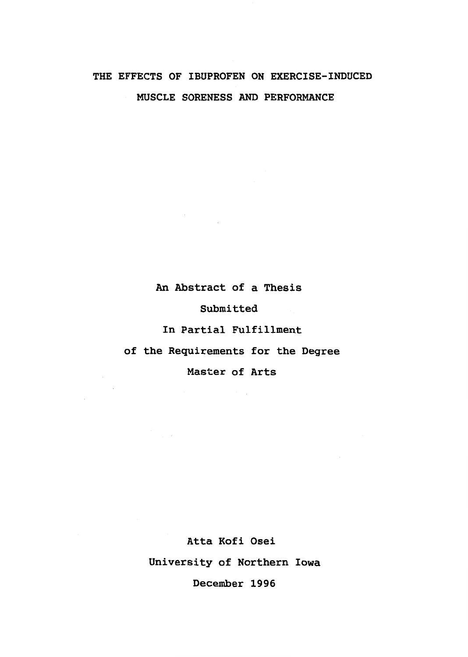## THE **EFFECTS** OF **IBUPROFEN ON EXERCISE-INDUCED MUSCLE SORENESS AND PERFORMANCE**

An Abstract of a Thesis

Submitted

In Partial Fulfillment

of the Requirements for the Degree

Master of Arts

 $\mathcal{F}^{\mathcal{G}}_{\mathcal{G}}$  and

 $\sim$   $\omega$ 

Atta Kofi Osei University of Northern Iowa December 1996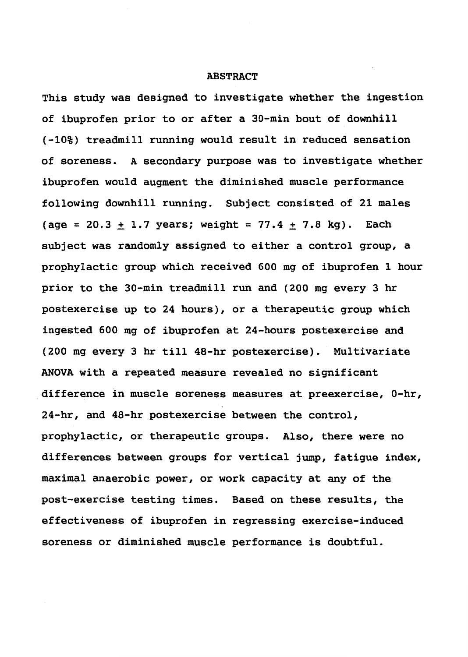#### **ABSTRACT**

This study was designed to investigate whether the ingestion of ibuprofen prior to or after a 30-min bout of downhill (-10%) treadmill running would result in reduced sensation of soreness. A secondary purpose was to investigate whether ibuprofen would augment the diminished muscle performance following downhill running. Subject consisted of 21 males (age = 20.3  $\pm$  1.7 years; weight = 77.4  $\pm$  7.8 kg). Each subject was randomly assigned to either a control group, a prophylactic group which received 600 mg of ibuprofen 1 hour prior to the 30-min treadmill run and (200 mg every 3 hr postexercise up to 24 hours), or a therapeutic group which ingested 600 mg of ibuprofen at 24-hours postexercise and (200 mg every 3 hr till 48-hr postexercise). Multivariate ANOVA with a repeated measure revealed no significant difference in muscle soreness measures at preexercise, 0-hr, 24-hr, and 48-hr postexercise between the control, prophylactic, or therapeutic groups. Also, there were no differences between groups for vertical jump, fatigue index, maximal anaerobic power, or work capacity at any of the post-exercise testing times. Based on these results, the effectiveness of ibuprofen in regressing exercise-induced soreness or diminished muscle performance is doubtful.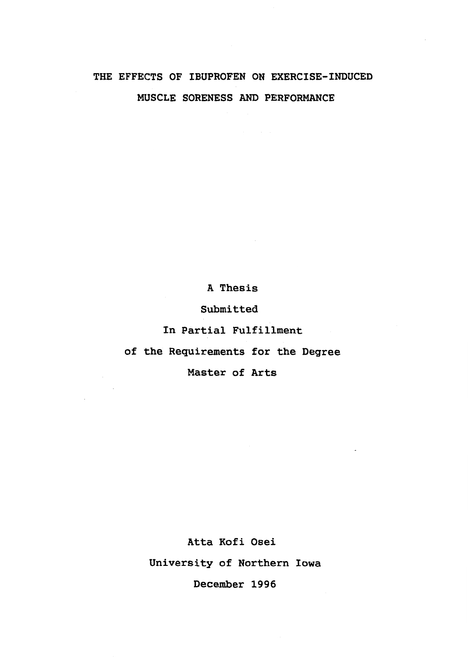## THE EFFECTS **OF IBUPROFEN ON EXERCISE-INDUCED MUSCLE SORENESS AND PERFORMANCE**

A Thesis

Submitted

In Partial Fulfillment

of the Requirements for the Degree

Master of Arts

 $\sim$   $\sim$ 

Atta Kofi Osei University of Northern Iowa December 1996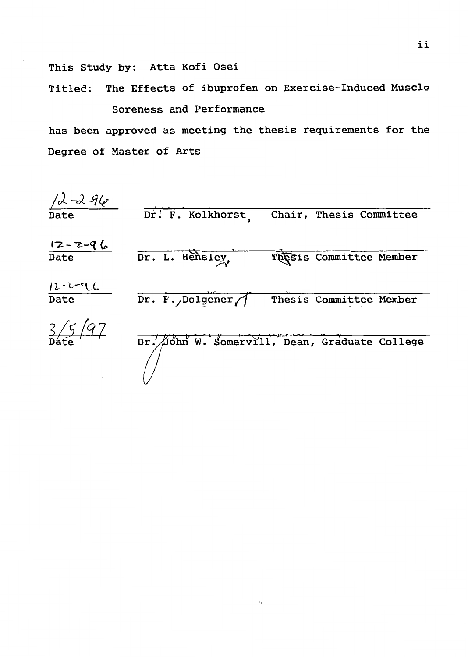This Study by: Atta Kofi Osei

Titled: The Effects of ibuprofen on Exercise-Induced Muscle Soreness and Performance

has been approved as meeting the thesis requirements for the Degree of Master of Arts

*j)-J-!jfe*  Date Dr. F. Kolkhorst, Chair, Thesis Committee  $12 - 2 - 96$ Date Dr. L. Hensley, Thesis Committee Member  $12 - 2 - 96$ Date Dr.  $3/5/97$ Dr. John W. Somervill, Dean, Graduate College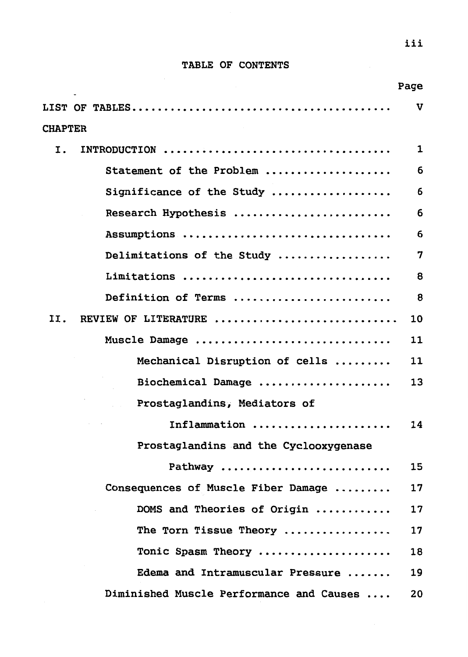## **TABLE OF CONTENTS**

|                |                                          | rage        |
|----------------|------------------------------------------|-------------|
|                |                                          | $\mathbf v$ |
| <b>CHAPTER</b> |                                          |             |
| Ι.             | INTRODUCTION                             | 1           |
|                | Statement of the Problem                 | 6           |
|                | Significance of the Study                | 6           |
|                | Research Hypothesis                      | 6           |
|                | Assumptions                              | 6           |
|                | Delimitations of the Study               | 7           |
|                | Limitations                              | 8           |
|                | Definition of Terms                      | 8           |
| II.            | REVIEW OF LITERATURE                     | 10          |
|                | Muscle Damage                            | 11          |
|                | Mechanical Disruption of cells           | 11          |
|                | Biochemical Damage                       | 13          |
|                | Prostaglandins, Mediators of             |             |
|                | Inflammation                             | 14          |
|                | Prostaglandins and the Cyclooxygenase    |             |
|                | Pathway                                  | 15          |
|                | Consequences of Muscle Fiber Damage      | 17          |
|                | DOMS and Theories of Origin              | 17          |
|                | The Torn Tissue Theory                   | 17          |
|                | Tonic Spasm Theory                       | 18          |
|                | Edema and Intramuscular Pressure         | 19          |
|                | Diminished Muscle Performance and Causes | 20          |

 $\blacksquare$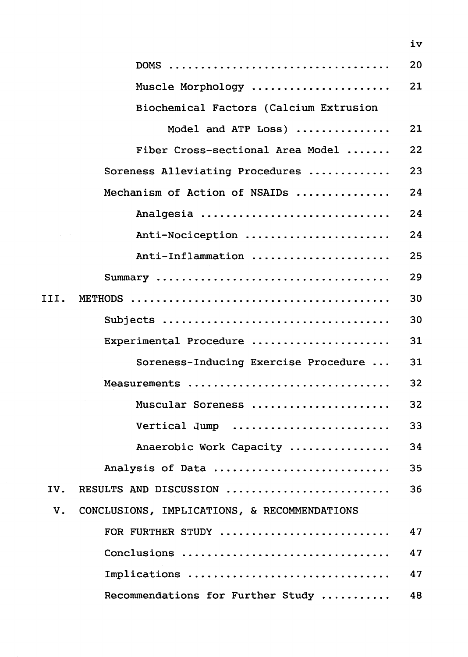|      |                                              | 20 |
|------|----------------------------------------------|----|
|      | Muscle Morphology                            | 21 |
|      | Biochemical Factors (Calcium Extrusion       |    |
|      | Model and ATP Loss)                          | 21 |
|      | Fiber Cross-sectional Area Model             | 22 |
|      | Soreness Alleviating Procedures              | 23 |
|      | Mechanism of Action of NSAIDs                | 24 |
|      | Analgesia                                    | 24 |
|      | Anti-Nociception                             | 24 |
|      | Anti-Inflammation                            | 25 |
|      |                                              | 29 |
| III. |                                              | 30 |
|      |                                              | 30 |
|      | Experimental Procedure                       | 31 |
|      | Soreness-Inducing Exercise Procedure         | 31 |
|      | Measurements                                 | 32 |
|      | Muscular Soreness                            | 32 |
|      | Vertical Jump                                | 33 |
|      | Anaerobic Work Capacity                      | 34 |
|      | Analysis of Data                             | 35 |
| IV.  | RESULTS AND DISCUSSION                       | 36 |
| V.   | CONCLUSIONS, IMPLICATIONS, & RECOMMENDATIONS |    |
|      | FOR FURTHER STUDY                            | 47 |
|      | Conclusions                                  | 47 |
|      | Implications                                 | 47 |
|      | Recommendations for Further Study            | 48 |

iv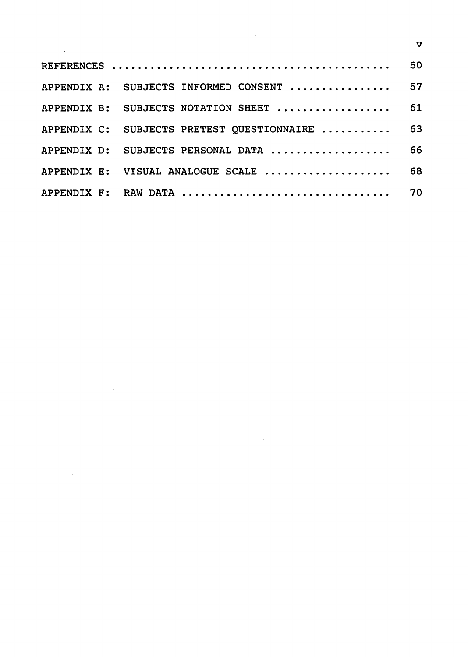| APPENDIX A: SUBJECTS INFORMED CONSENT  57      |  |
|------------------------------------------------|--|
| APPENDIX B: SUBJECTS NOTATION SHEET  61        |  |
| APPENDIX C: SUBJECTS PRETEST QUESTIONNAIRE  63 |  |
| APPENDIX D: SUBJECTS PERSONAL DATA  66         |  |
| APPENDIX E: VISUAL ANALOGUE SCALE  68          |  |
|                                                |  |

 $\label{eq:2.1} \frac{1}{\sqrt{2}}\int_{\mathbb{R}^3}\frac{1}{\sqrt{2}}\left(\frac{1}{\sqrt{2}}\right)^2\frac{1}{\sqrt{2}}\left(\frac{1}{\sqrt{2}}\right)^2\frac{1}{\sqrt{2}}\left(\frac{1}{\sqrt{2}}\right)^2.$ 

 $\label{eq:2.1} \frac{1}{\sqrt{2}}\int_{\mathbb{R}^3}\frac{1}{\sqrt{2}}\left(\frac{1}{\sqrt{2}}\right)^2\frac{1}{\sqrt{2}}\left(\frac{1}{\sqrt{2}}\right)^2\frac{1}{\sqrt{2}}\left(\frac{1}{\sqrt{2}}\right)^2\frac{1}{\sqrt{2}}\left(\frac{1}{\sqrt{2}}\right)^2.$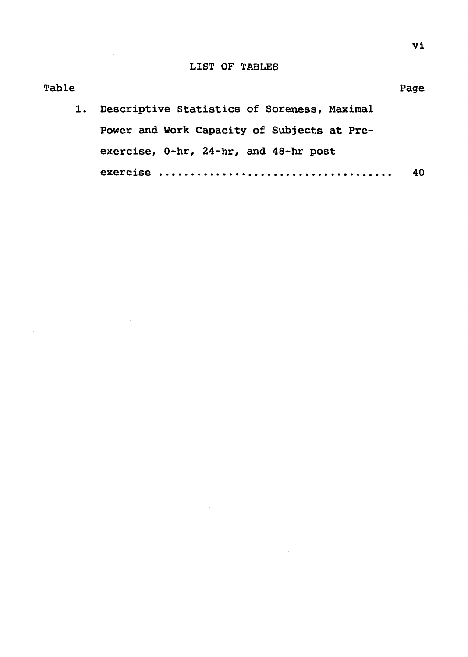## LIST OF TABLES

Table

| 1. Descriptive Statistics of Soreness, Maximal |    |
|------------------------------------------------|----|
| Power and Work Capacity of Subjects at Pre-    |    |
| exercise, 0-hr, 24-hr, and 48-hr post          |    |
|                                                | 40 |

Page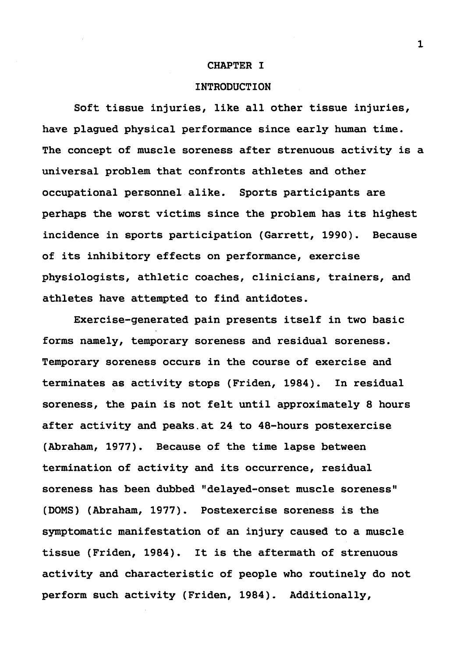#### **CHAPTER** I

#### **INTRODUCTION**

Soft tissue injuries, like all other tissue injuries, have plagued physical performance since early human time. The concept of muscle soreness after strenuous activity is a universal problem that confronts athletes and other occupational personnel alike. Sports participants are perhaps the worst victims since the problem has its highest incidence in sports participation (Garrett, 1990). Because of its inhibitory effects on performance, exercise physiologists, athletic coaches, clinicians, trainers, and athletes have attempted to find antidotes.

Exercise-generated pain presents itself in two basic forms namely, temporary soreness and residual soreness. Temporary soreness occurs in the course of exercise and terminates as activity stops (Friden, 1984). In residual soreness, the pain is not felt until approximately 8 hours after activity and peaks.at 24 to 48-hours postexercise (Abraham, 1977). Because of the time lapse between termination of activity and its occurrence, residual soreness has been dubbed "delayed-onset muscle soreness" (DOMS) (Abraham, 1977). Postexercise soreness is the symptomatic manifestation of an injury caused to a muscle tissue (Friden, 1984). It is the aftermath of strenuous activity and characteristic of people who routinely do not perform such activity (Friden, 1984). Additionally,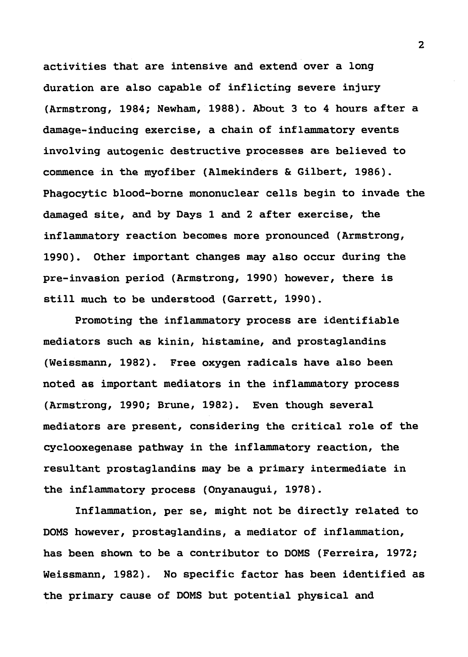activities that are intensive and extend over a long duration are also capable of inflicting severe injury {Armstrong, 1984; Newham, 1988). About 3 to 4 hours after a damage-inducing exercise, a chain of inflammatory events involving autogenic destructive processes are believed to commence in the myofiber {Almekinders & Gilbert, 1986). Phagocytic blood-borne mononuclear cells begin to invade the damaged site, and by Days 1 and 2 after exercise, the inflammatory reaction becomes more pronounced (Armstrong, 1990). Other important changes may also occur during the pre-invasion period (Armstrong, 1990) however, there is still much to be understood (Garrett, 1990).

Promoting the inflammatory process are identifiable mediators such as kinin, histamine, and prostaglandins (Weissmann, 1982). Free oxygen radicals have also been noted as important mediators in the inflammatory process (Armstrong, 1990; Brune, 1982). Even though several mediators are present, considering the critical role of the cyclooxegenase pathway in the inflammatory reaction, the resultant prostaglandins may be a primary intermediate in the inflammatory process (Onyanaugui, 1978).

Inflammation, per se, might not be directly related to DOMS however, prostaglandins, a mediator of inflammation, has been shown to be a contributor to DOMS (Ferreira, 1972; Weissmann, 1982). No specific factor has been identified as the primary cause of DOMS but potential physical and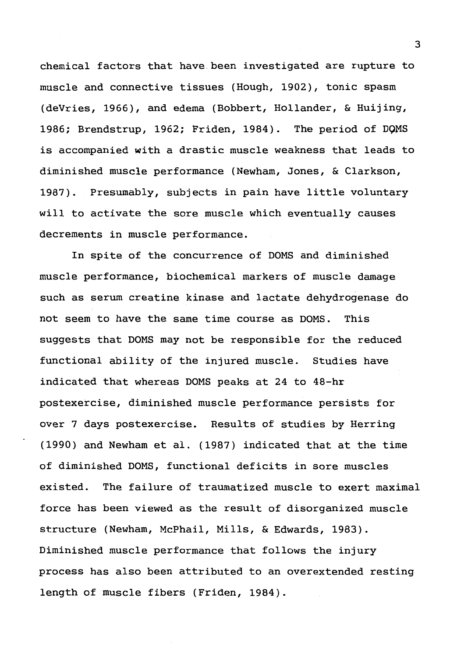chemical factors that have.been investigated are rupture to muscle and connective tissues (Hough, 1902), tonic spasm (deVries, 1966), and edema (Bobbert, Hollander, & Huijing, 1986; Brendstrup, 1962; Friden, 1984). The period of DOMS is accompanied with a drastic muscle weakness that leads to diminished muscle performance (Newham, Jones, & Clarkson, 1987). Presumably, subjects in pain have little voluntary will to activate the sore muscle which eventually causes decrements in muscle performance.

In spite of the concurrence of DOMS and diminished muscle performance, biochemical markers of muscle damage such as serum creatine kinase and lactate dehydrogenase do not seem to have the same time course as DOMS. This suggests that DOMS may not be responsible for the reduced functional ability of the injured muscle. Studies have indicated that whereas DOMS peaks at 24 to 48-hr postexercise, diminished muscle performance persists for over 7 days postexercise. Results of studies by Herring (1990) and Newham et al. (1987) indicated that at the time of diminished DOMS, functional deficits in sore muscles existed. The failure of traumatized muscle to exert maximal force has been viewed as the result of disorganized muscle structure (Newham, McPhail, Mills, & Edwards, 1983). Diminished muscle performance that follows the injury process has also been attributed to an overextended resting length of muscle fibers (Friden, 1984).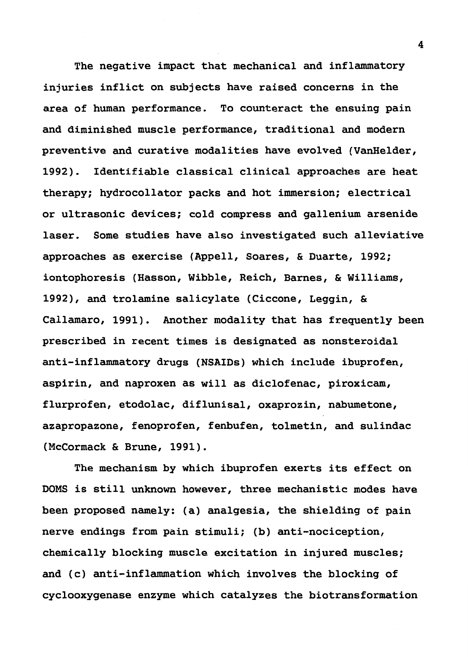The negative impact that mechanical and inflammatory injuries inflict on subjects have raised concerns in the area of human performance. To counteract the ensuing pain and diminished muscle performance, traditional and modern preventive and curative modalities have evolved (VanHelder, 1992). Identifiable classical clinical approaches are heat therapy; hydrocollator packs and hot immersion; electrical or ultrasonic devices; cold compress and gallenium arsenide laser. Some studies have also investigated such alleviative approaches as exercise (Appell, Soares, & Duarte, 1992; iontophoresis (Hasson, Wibble, Reich, Barnes, & Williams, 1992), and trolamine salicylate (Ciccone, Leggin, & Callamaro, 1991). Another modality that has frequently been prescribed in recent times is designated as nonsteroidal anti-inflammatory drugs (NSAIDs) which include ibuprofen, aspirin, and naproxen as will as diclofenac, piroxicam, flurprofen, etodolac, diflunisal, oxaprozin, nabumetone, azapropazone, fenoprofen, fenbufen, tolmetin, and sulindac (McCormack & Brune, 1991).

The mechanism by which ibuprofen exerts its effect on DOMS is still unknown however, three mechanistic modes have been proposed namely: (a) analgesia, the shielding of pain nerve endings from pain stimuli; (b) anti-nociception, chemically blocking muscle excitation in injured muscles; and (c) anti-inflammation which involves the blocking of cyclooxygenase enzyme which catalyzes the biotransformation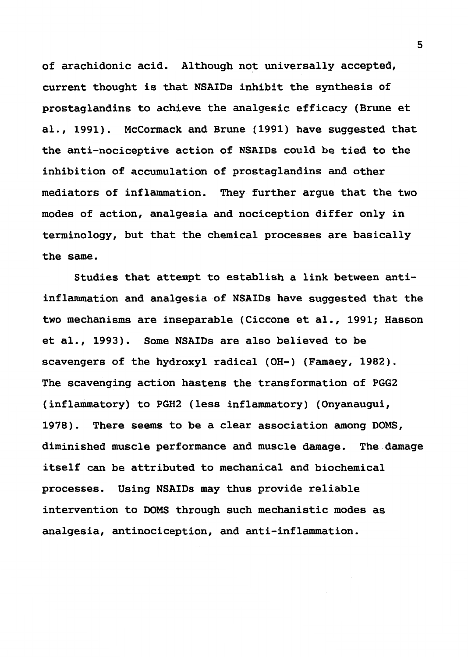of arachidonic acid. Although not universally accepted, current thought is that NSAIDs inhibit the synthesis of prostaglandins to achieve the analgesic efficacy (Brune et al., 1991). McCormack and Brune (1991) have suggested that the anti-nociceptive action of NSAIDs could be tied to the inhibition of accumulation of prostaglandins and other mediators of inflammation. They further argue that the two modes of action, analgesia and nociception differ only in terminology, but that the chemical processes are basically the same.

Studies that attempt to establish a link between antiinflammation and analgesia of NSAIDs have suggested that the two mechanisms are inseparable (Ciccone et al., 1991; Hasson et al., 1993). Some NSAIDs are also believed to be scavengers of the hydroxyl radical (OH-) (Famaey, 1982). The scavenging action hastens the transformation of PGG2 (inflammatory) to PGH2 (less inflammatory) (Onyanaugui, 1978). There seems to be a clear association among DOMS, diminished muscle performance and muscle damage. The damage itself can be attributed to mechanical and biochemical processes. Using NSAIDs may thus provide reliable intervention to DOMS through such mechanistic modes as analgesia, antinociception, and anti-inflammation.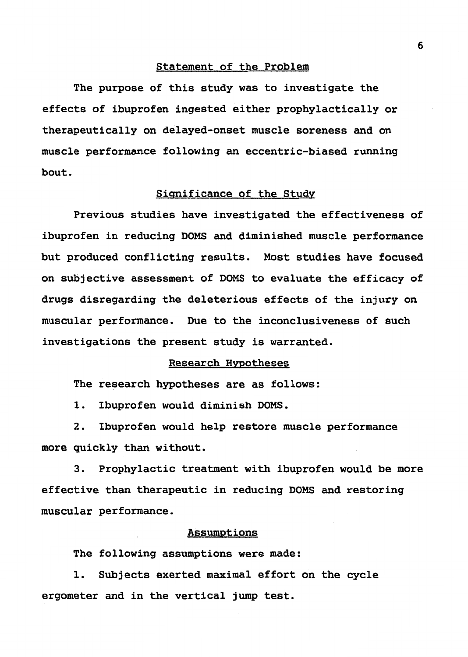#### Statement of the Problem

The purpose of this study was to investigate the effects of ibuprofen ingested either prophylactically or therapeutically on delayed-onset muscle soreness and on muscle performance following an eccentric-biased running bout.

#### Significance of the Study

Previous studies have investigated the effectiveness of ibuprofen in reducing DOMS and diminished muscle performance but produced conflicting results. Most studies have focused on subjective assessment of DOMS to evaluate the efficacy of drugs disregarding the deleterious effects of the injury on muscular performance. Due to the inconclusiveness of such investigations the present study is warranted.

#### Research Hypotheses

The research hypotheses are as follows:

1. Ibuprofen would diminish DOMS.

2. Ibuprofen would help restore muscle performance more quickly than without.

3. Prophylactic treatment with ibuprofen would be more effective than therapeutic in reducing DOMS and restoring muscular performance.

#### Assumptions

The following assumptions were made:

1. Subjects exerted maximal effort on the cycle ergometer and in the vertical jump test.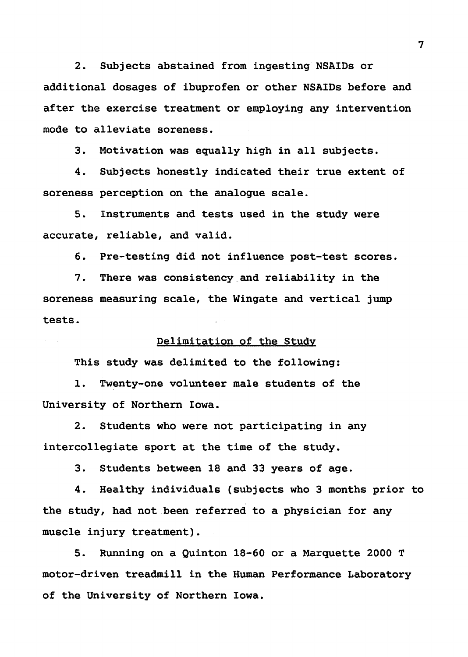2. Subjects abstained from ingesting NSAIDs or additional dosages of ibuprofen or other NSAIDs before and after the exercise treatment or employing any intervention mode to alleviate soreness.

3. Motivation was equally high in all subjects.

4. Subjects honestly indicated their true extent of soreness perception on the analogue scale.

5. Instruments and tests used in the study were accurate, reliable, and valid.

6. Pre-testing did not influence post-test scores.

7. There was consistency.and reliability in the soreness measuring scale, the Wingate and vertical jump tests.

#### Delimitation of the Study

This study was delimited to the following:

1. Twenty-one volunteer male students of the University of Northern Iowa.

2. Students who were not participating in any intercollegiate sport at the time of the study.

3. Students between 18 and 33 years of age.

4. Healthy individuals (subjects who 3 months prior to the study, had not been referred to a physician for any muscle injury treatment).

5. Running on a Quinton 18-60 or a Marquette 2000 T motor-driven treadmill in the Human Performance Laboratory of the University of Northern Iowa.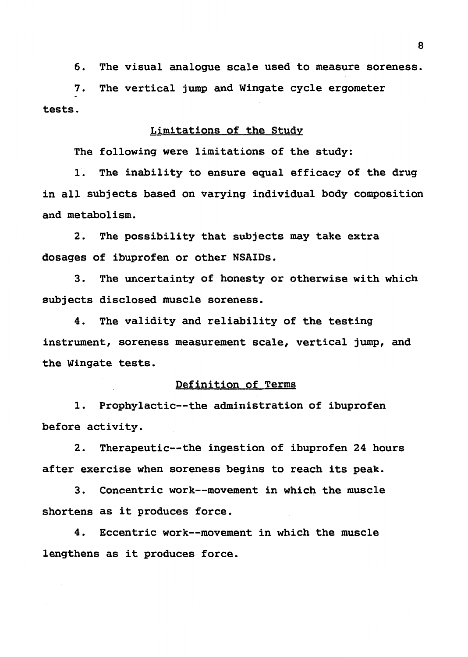6. The visual analogue scale used to measure soreness.

7. The vertical jump and Wingate cycle ergometer tests.

#### Limitations of the Study

The following were limitations of the study:

1. The inability to ensure equal efficacy of the drug in all subjects based on varying individual body composition and metabolism.

2. The possibility that subjects may take extra dosages of ibuprofen or other NSAIDs.

3. The uncertainty of honesty or otherwise with which subjects disclosed muscle soreness.

4. The validity and reliability of the testing instrument, soreness measurement scale, vertical jump, and the Wingate tests.

#### Definition of Terms

1. Prophylactic--the administration of ibuprofen before activity.

2. Therapeutic--the ingestion of ibuprofen 24 hours after exercise when soreness begins to reach its peak.

3. Concentric work--movement in which the muscle shortens as it produces force.

4. Eccentric work--movement in which the muscle lengthens as it produces force.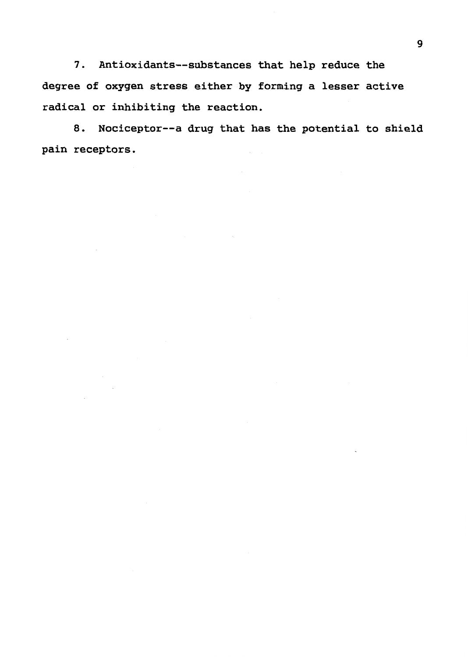7. Antioxidants--substances that help reduce the degree of oxygen stress either by forming a lesser active radical or inhibiting the reaction.

8. Nociceptor--a drug that has the potential to shield pain receptors.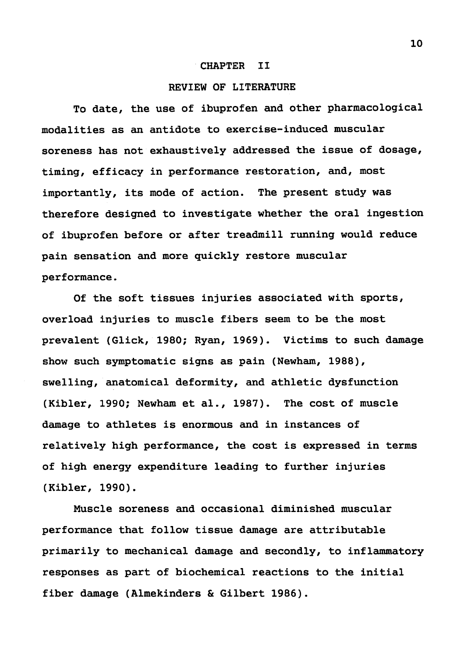#### CHAPTER II

#### REVIEW OF LITERATURE

To date, the use of ibuprofen and other pharmacological modalities as an antidote to exercise-induced muscular soreness has not exhaustively addressed the issue of dosage, timing, efficacy in performance restoration, and, most importantly, its mode of action. The present study was therefore designed to investigate whether the oral ingestion of ibuprofen before or after treadmill running would reduce pain sensation and more quickly restore muscular performance.

Of the soft tissues injuries associated with sports, overload injuries to muscle fibers seem to be the most prevalent (Glick, 1980; Ryan, 1969). Victims to such damage show such symptomatic signs as pain (Newham, 1988), swelling, anatomical deformity, and athletic dysfunction (Kibler, 1990; Newham et al., 1987). The cost of muscle damage to athletes is enormous and in instances of relatively high performance, the cost is expressed in terms of high energy expenditure leading to further injuries (Kibler, 1990).

Muscle soreness and occasional diminished muscular performance that follow tissue damage are attributable primarily to mechanical damage and secondly, to inflammatory responses as part of biochemical reactions to the initial fiber damage (Almekinders & Gilbert 1986).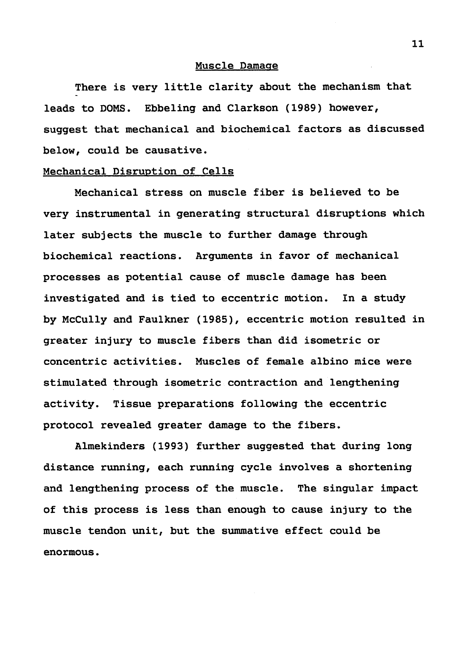#### Muscle Damage

There is very little clarity about the mechanism that leads to DOMS. Ebbeling and Clarkson (1989) however, suggest that mechanical and biochemical factors as discussed below, could be causative.

#### Mechanical Disruption of Cells

Mechanical stress on muscle fiber is believed to be very instrumental in generating structural disruptions which later subjects the muscle to further damage through biochemical reactions. Arguments in favor of mechanical processes as potential cause of muscle damage has been investigated and is tied to eccentric motion. In a study by Mccully and Faulkner (1985), eccentric motion resulted in greater injury to muscle fibers than did isometric or concentric activities. Muscles of female albino mice were stimulated through isometric contraction and lengthening activity. Tissue preparations following the eccentric protocol revealed greater damage to the fibers.

Almekinders (1993) further suggested that during long distance running, each running cycle involves a shortening and lengthening process of the muscle. The singular impact of this process is less than enough to cause injury to the muscle tendon unit, but the summative effect could be enormous.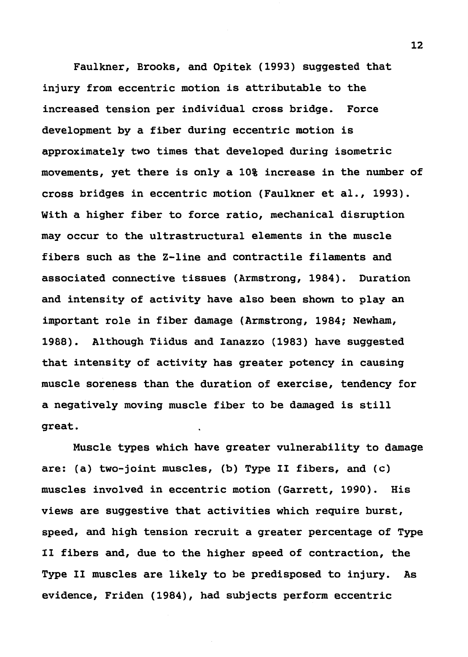Faulkner, Brooks, and Opitek (1993) suggested that injury from eccentric motion is attributable to the increased tension per individual cross bridge. Force development by a fiber during eccentric motion is approximately two times that developed during isometric movements, yet there is only a 10% increase in the number of cross bridges in eccentric motion (Faulkner et al., 1993). With a higher fiber to force ratio, mechanical disruption may occur to the ultrastructural elements in the muscle fibers such as the Z-line and contractile filaments and associated connective tissues (Armstrong, 1984). Duration and intensity of activity have also been shown to play an important role in fiber damage (Armstrong, 1984; Newham, 1988). Although Tiidus and Ianazzo (1983) have suggested that intensity of activity has greater potency in causing muscle soreness than the duration of exercise, tendency for a negatively moving muscle fiber to be damaged is still great.

Muscle types which have greater vulnerability to damage are: (a) two-joint muscles, (b) Type II fibers, and (c) muscles involved in eccentric motion (Garrett, 1990). His views are suggestive that activities which require burst, speed, and high tension recruit a greater percentage of Type II fibers and, due to the higher speed of contraction, the Type II muscles are likely to be predisposed to injury. As evidence, Friden (1984), had subjects perform eccentric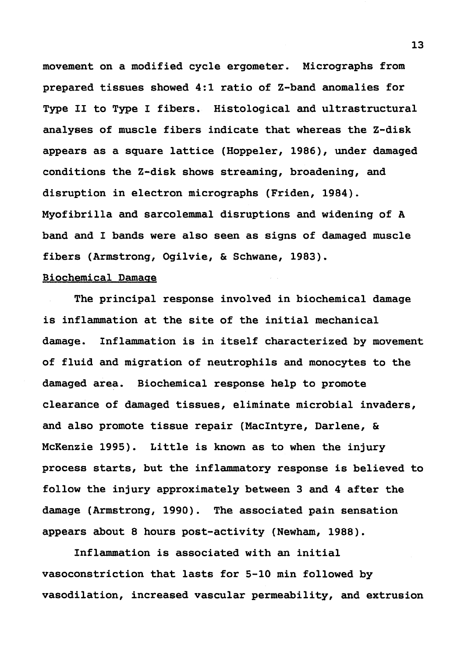movement on a modified cycle ergometer. Micrographs from prepared tissues showed 4:1 ratio of Z-band anomalies for Type II to Type I fibers. Histological and ultrastructural analyses of muscle fibers indicate that whereas the Z-disk appears as a square lattice (Hoppeler, 1986), under damaged conditions the Z-disk shows streaming, broadening, and disruption in electron micrographs (Friden, 1984). Myofibrilla and sarcolemmal disruptions and widening of A band and I bands were also seen as signs of damaged muscle fibers (Armstrong, Ogilvie, & Schwane, 1983).

#### Biochemical Damage

The principal response involved in biochemical damage is inflammation at the site of the initial mechanical damage. Inflammation is in itself characterized by movement of fluid and migration of neutrophils and monocytes to the damaged area. Biochemical response help to promote clearance of damaged tissues, eliminate microbial invaders, and also promote tissue repair (MacIntyre, Darlene, & McKenzie 1995). Little is known as to when the injury process starts, but the inflammatory response is believed to follow the injury approximately between 3 and 4 after the damage (Armstrong, 1990). The associated pain sensation appears about 8 hours post-activity (Newham, 1988).

Inflammation is associated with an initial vasoconstriction that lasts for 5-10 min followed by vasodilation, increased vascular permeability, and extrusion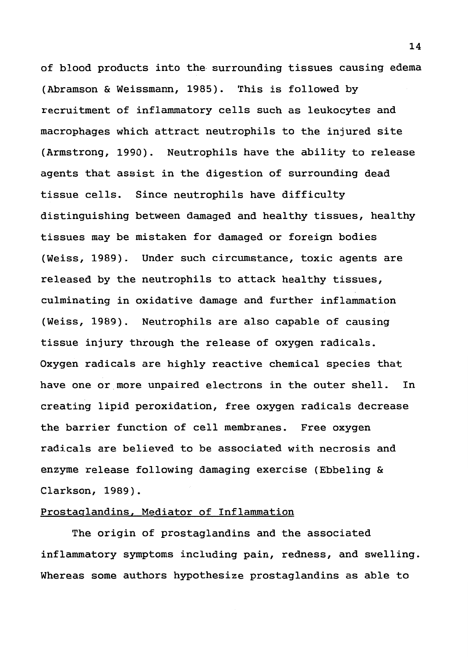of blood products into the surrounding tissues causing edema (Abramson & Weissmann, 1985). This is followed by recruitment of inflammatory cells such as leukocytes and macrophages which attract neutrophils to the injured site (Armstrong, 1990). Neutrophils have the ability to release agents that assist in the digestion of surrounding dead tissue cells. Since neutrophils have difficulty distinguishing between damaged and healthy tissues, healthy tissues may be mistaken for damaged or foreign bodies (Weiss, 1989). Under such circumstance, toxic agents are released by the neutrophils to attack healthy tissues, culminating in oxidative damage and further inflammation (Weiss, 1989). Neutrophils are also capable of causing tissue injury through the release of oxygen radicals. Oxygen radicals are highly reactive chemical species that have one or more unpaired electrons in the outer shell. In creating lipid peroxidation, free oxygen radicals decrease the barrier function of cell membranes. Free oxygen radicals are believed to be associated with necrosis and enzyme release following damaging exercise (Ebbeling & Clarkson, 1989).

### Prostaglandins, Mediator of Inflammation

The origin of prostaglandins and the associated inflammatory symptoms including pain, redness, and swelling. Whereas some authors hypothesize prostaglandins as able to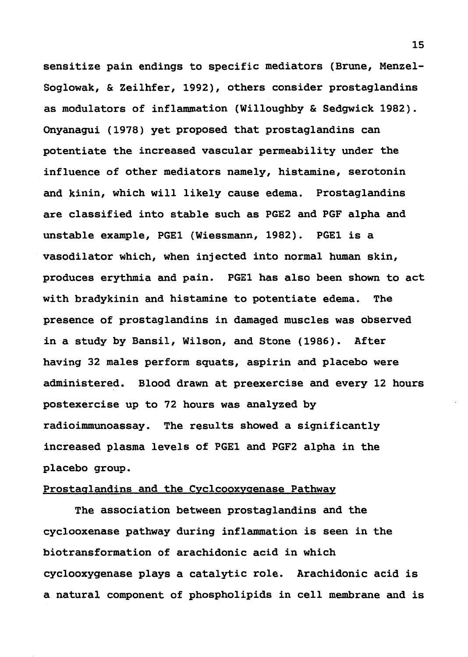sensitize pain endings to specific mediators (Brune, Menzel-Soglowak, & Zeilhfer, 1992), others consider prostaglandins as modulators of inflammation (Willoughby & Sedgwick 1982). Onyanagui (1978) yet proposed that prostaglandins can potentiate the increased vascular permeability under the influence of other mediators namely, histamine, serotonin and kinin, which will likely cause edema. Prostaglandins are classified into stable such as PGE2 and PGF alpha and unstable example, PGEl (Wiessmann, 1982). PGEl is a vasodilator which, when injected into normal human skin, produces erythmia and pain. PGEl has also been shown to act with bradykinin and histamine to potentiate edema. The presence of prostaglandins in damaged muscles was observed in a study by Bansil, Wilson, and Stone (1986). After having 32 males perform squats, aspirin and placebo were administered. Blood drawn at preexercise and every 12 hours postexercise up to 72 hours was analyzed by radioimmunoassay. The results showed a significantly increased plasma levels of PGEl and PGF2 alpha in the placebo group.

#### Prostaglandins and the Cyclcooxygenase Pathway

The association between prostaglandins and the cyclooxenase pathway during inflammation is seen in the biotransformation of arachidonic acid in which cyclooxygenase plays a catalytic role. Arachidonic acid is a natural component of phospholipids in cell membrane and is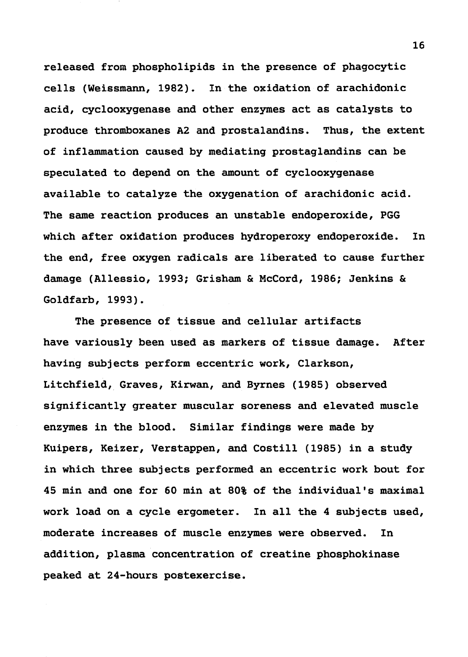released from phospholipids in the presence of phagocytic cells (Weissmann, 1982). In the oxidation of arachidonic acid, cyclooxygenase and other enzymes act as catalysts to produce thromboxanes A2 and prostalandins. Thus, the extent of inflammation caused by mediating prostaglandins can be speculated to depend on the amount of cyclooxygenase available to catalyze the oxygenation of arachidonic acid. The same reaction produces an unstable endoperoxide, PGG which after oxidation produces hydroperoxy endoperoxide. In the end, free oxygen radicals are liberated to cause further damage (Allessio, 1993; Grisham & McCord, 1986; Jenkins & Goldfarb, 1993).

The presence of tissue and cellular artifacts have variously been used as markers of tissue damage. After having subjects perform eccentric work, Clarkson, Litchfield, Graves, Kirwan, and Byrnes (1985) observed significantly greater muscular soreness and elevated muscle enzymes in the blood. Similar findings were made by Kuipers, Keizer, Verstappen, and Costill (1985) in a study in which three subjects performed an eccentric work bout for 45 min and one for 60 min at 80% of the individual's maximal work load on a cycle ergometer. In all the 4 subjects used, moderate increases of muscle enzymes were observed. In addition, plasma concentration of creatine phosphokinase peaked at 24-hours postexercise.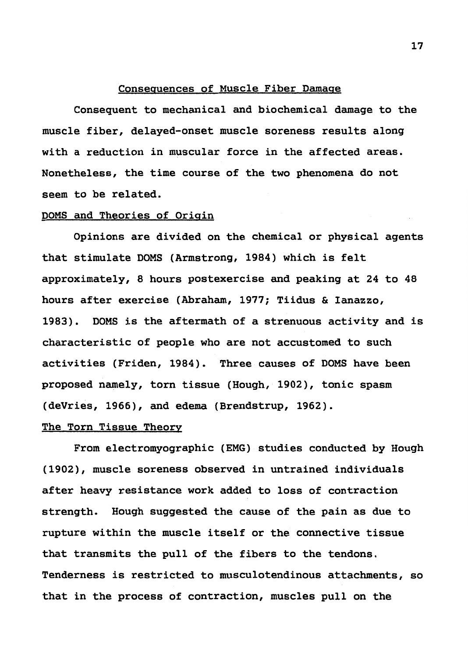#### Consequences of Muscle Fiber Damage

Consequent to mechanical and biochemical damage to the muscle fiber, delayed-onset muscle soreness results along with a reduction in muscular force in the affected areas. Nonetheless, the time course of the two phenomena do not seem to be related.

#### DOMS and Theories of Origin

Opinions are divided on the chemical or physical agents that stimulate DOMS (Armstrong, 1984) which is felt approximately, 8 hours postexercise and peaking at 24 to 48 hours after exercise (Abraham, 1977; Tiidus & Ianazzo, 1983). DOMS is the aftermath of a strenuous activity and is characteristic of people who are not accustomed to such activities (Friden, 1984). Three causes of DOMS have been proposed namely, torn tissue (Hough, 1902), tonic spasm (deVries, 1966), and edema (Brendstrup, 1962).

#### The Torn Tissue Theory

From electromyographic (EMG) studies conducted by Hough (1902), muscle soreness observed in untrained individuals after heavy resistance work added to loss of contraction strength. Hough suggested the cause of the pain as due to rupture within the muscle itself or the connective tissue that transmits the pull of the fibers to the tendons. Tenderness is restricted to musculotendinous attachments, so that in the process of contraction, muscles pull on the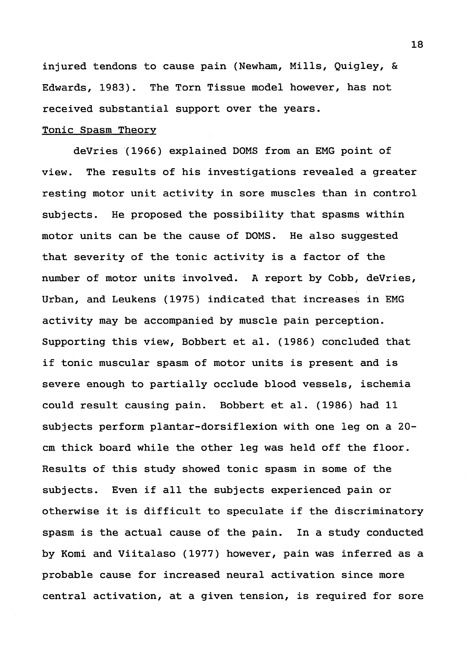injured tendons to cause pain (Newham, Mills, Quigley, & Edwards, 1983). The Torn Tissue model however, has not received substantial support over the years.

#### Tonic Spasm Theory

deVries (1966) explained DOMS from an EMG point of view. The results of his investigations revealed a greater resting motor unit activity in sore muscles than in control subjects. He proposed the possibility that spasms within motor units can be the cause of DOMS. He also suggested that severity of the tonic activity is a factor of the number of motor units involved. A report by Cobb, deVries, Urban, and Leukens (1975) indicated that increases in EMG activity may be accompanied by muscle pain perception. Supporting this view, Bobbert et al. (1986) concluded that if tonic muscular spasm of motor units is present and is severe enough to partially occlude blood vessels, ischemia could result causing pain. Bobbert et al. (1986) had 11 subjects perform plantar-dorsiflexion with one leg on a 20 cm thick board while the other leg was held off the floor. Results of this study showed tonic spasm in some of the subjects. Even if all the subjects experienced pain or otherwise it is difficult to speculate if the discriminatory spasm is the actual cause of the pain. In a study conducted by Kami and Viitalaso (1977) however, pain was inferred as a probable cause for increased neural activation since more central activation, at a given tension, is required for sore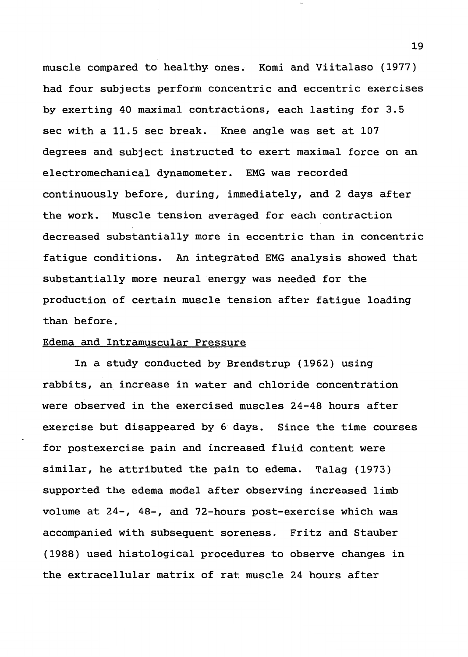muscle compared to healthy ones. Komi and Viitalaso (1977) had four subjects perform concentric and eccentric exercises by exerting 40 maximal contractions, each lasting for 3.5 sec with a 11.5 sec break. Knee angle was set at 107 degrees and subject instructed to exert maximal force on an electromechanical dynamometer. EMG was recorded continuously before, during, immediately, and 2 days after the work. Muscle tension averaged for each contraction decreased substantially more in eccentric than in concentric fatigue conditions. An integrated EMG analysis showed that substantially more neural energy was needed for the production of certain muscle tension after fatigue loading than before.

#### Edema and Intramuscular Pressure

In a study conducted by Brendstrup (1962) using rabbits, an increase in water and chloride concentration were observed in the exercised muscles 24-48 hours after exercise but disappeared by 6 days. Since the time courses for postexercise pain and increased fluid content were similar, he attributed the pain to edema. Talag (1973) supported the edema model after observing increased limb volume at 24-, 48-, and 72-hours post-exercise which was accompanied with subsequent soreness. Fritz and Stauber (1988) used histological procedures to observe changes in the extracellular matrix of rat muscle 24 hours after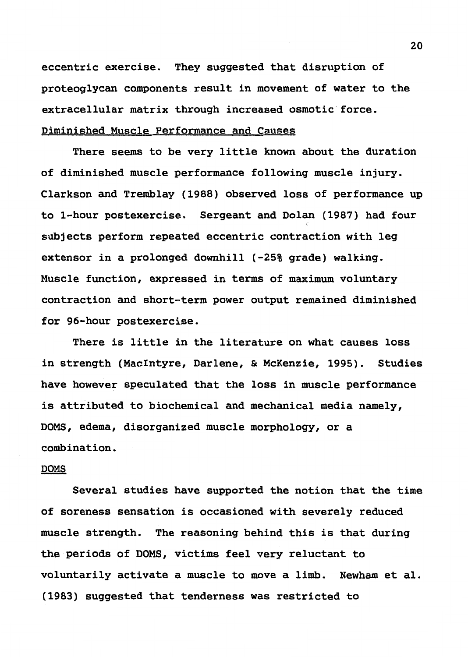eccentric exercise. They suggested that disruption of proteoglycan components result in movement of water to the extracellular matrix through increased osmotic force. Diminished Muscle Performance and Causes

There seems to be very little known about the duration of diminished muscle performance following muscle injury. Clarkson and Tremblay (1988) observed loss of performance up to 1-hour postexercise. Sergeant and Dolan (1987) had four subjects perform repeated eccentric contraction with leg extensor in a prolonged downhill (-25% grade) walking. Muscle function, expressed in terms of maximum voluntary contraction and short-term power output remained diminished for 96-hour postexercise.

There is little in the literature on what causes loss in strength (MacIntyre, Darlene, & McKenzie, 1995). Studies have however speculated that the loss in muscle performance is attributed to biochemical and mechanical media namely, DOMS, edema, disorganized muscle morphology, or a combination.

#### **DOMS**

Several studies have supported the notion that the time of soreness sensation is occasioned with severely reduced muscle strength. The reasoning behind this is that during the periods of DOMS, victims feel very reluctant to voluntarily activate a muscle to move a limb. Newham et al. (1983) suggested that tenderness was restricted to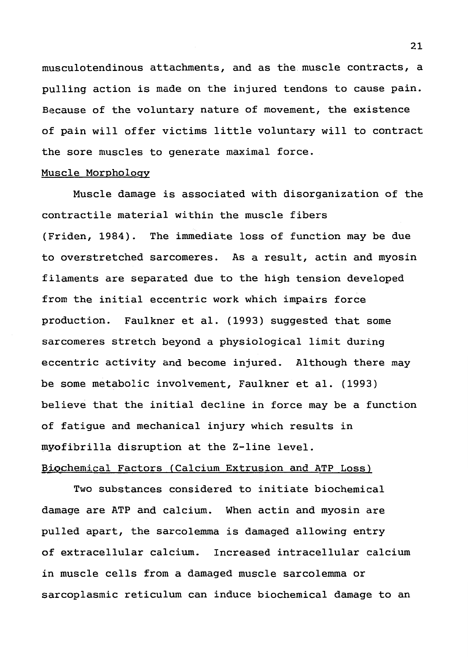musculotendinous attachments, and as the muscle contracts, a pulling action is made on the injured tendons to cause pain. Because of the voluntary nature of movement, the existence of pain will offer victims little voluntary will to contract the sore muscles to generate maximal force.

#### Muscle Morphology

Muscle damage is associated with disorganization of the contractile material within the muscle fibers (Friden, 1984). The immediate loss of function may be due to overstretched sarcomeres. As a result, actin and myosin filaments are separated due to the high tension developed from the initial eccentric work which impairs force production. Faulkner et al. (1993) suggested that some sarcomeres stretch beyond a physiological limit during eccentric activity and become injured. Although there may be some metabolic involvement, Faulkner et al. (1993) believe that the initial decline in force may be a function of fatigue and mechanical injury which results in myofibrilla disruption at the Z-line level.

#### Biochemical Factors (Calcium Extrusion and ATP Loss)

Two substances considered to initiate biochemical damage are ATP and calcium. When actin and myosin are pulled apart, the sarcolemma is damaged allowing entry of extracellular calcium. Increased intracellular calcium in muscle cells from a damaged muscle sarcolemma or sarcoplasmic reticulum can induce biochemical damage to an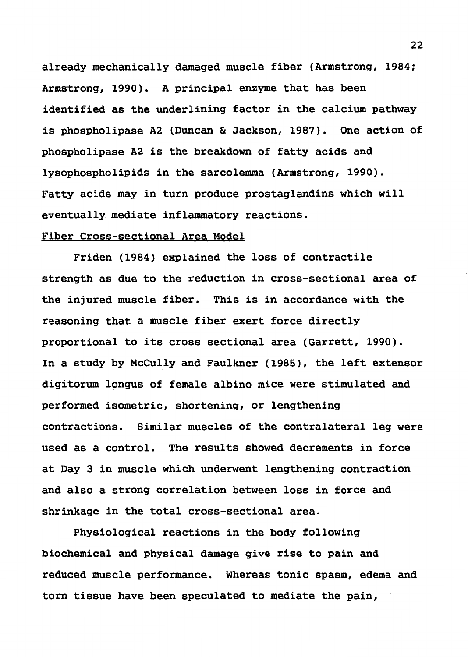already mechanically damaged muscle fiber (Armstrong, 1984; Armstrong, 1990). A principal enzyme that has been identified as the underlining factor in the calcium pathway is phospholipase A2 (Duncan & Jackson, 1987). One action of phospholipase A2 is the breakdown of fatty acids and lysophospholipids in the sarcolemma (Armstrong, 1990). Fatty acids may in turn produce prostaglandins which will eventually mediate inflammatory reactions.

#### Fiber Cross-sectional Area Model

Friden (1984) explained the loss of contractile strength as due to the reduction in cross-sectional area of the injured muscle fiber. This is in accordance with the reasoning that a muscle fiber exert force directly proportional to its cross sectional area (Garrett, 1990). In a study by Mccully and Faulkner (1985), the left extensor digitorum longus of female albino mice were stimulated and performed isometric, shortening, or lengthening contractions. Similar muscles of the contralateral leg were used as a control. The results showed decrements in force at Day 3 in muscle which underwent lengthening contraction and also a strong correlation between loss in force and shrinkage in the total cross-sectional area.

Physiological reactions in the body following biochemical and physical damage give rise to pain and reduced muscle performance. Whereas tonic spasm, edema and torn tissue have been speculated to mediate the pain,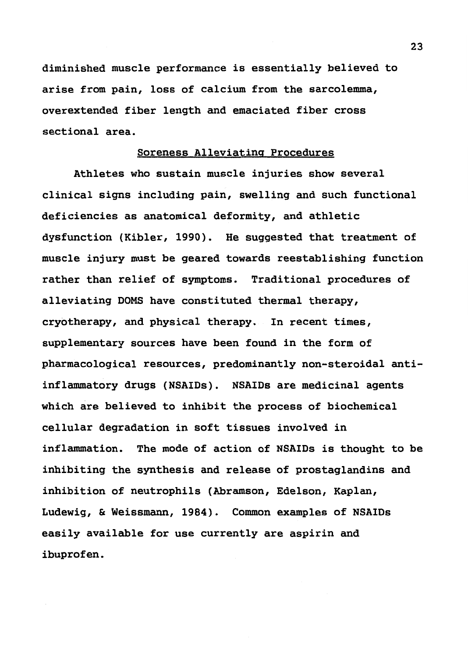diminished muscle performance is essentially believed to arise from pain, loss of calcium from the sarcolemma, overextended fiber length and emaciated fiber cross sectional area.

#### Soreness Alleviating Procedures

Athletes who sustain muscle injuries show several clinical signs including pain, swelling and such functional deficiencies as anatomical deformity, and athletic dysfunction (Kibler, 1990). He suggested that treatment of muscle injury must be geared towards reestablishing function rather than relief of symptoms. Traditional procedures of alleviating DOMS have constituted thermal therapy, cryotherapy, and physical therapy. In recent times, supplementary sources have been found in the form of pharmacological resources, predominantly non-steroidal antiinflammatory drugs (NSAIDs). NSAIDs are medicinal agents which are believed to inhibit the process of biochemical cellular degradation in soft tissues involved in inflammation. The mode of action of NSAIDs is thought to be inhibiting the synthesis and release of prostaglandins and inhibition of neutrophils (Abramson, Edelson, Kaplan, Ludewig, & Weissmann, 1984). Common examples of NSAIDs easily available for use currently are aspirin and ibuprofen.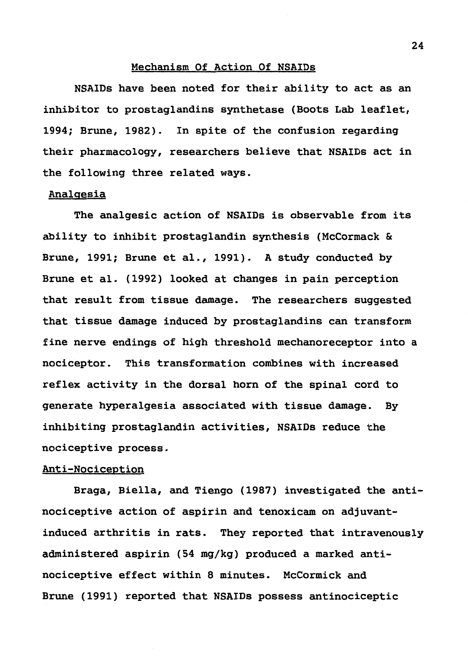#### Mechanism Of Action Of NSAIDs

NSAIDs have been noted for their ability to act as an inhibitor to prostaglandins synthetase (Boots Lab leaflet, 1994; Brune, 1982). In spite of the confusion regarding their pharmacology, researchers believe that NSAIDs act in the following three related ways.

#### Analgesia

The analgesic action of NSAIDs is observable from its ability to inhibit prostaglandin synthesis (McCormack & Brune, 1991; Brune et al., 1991). A study conducted by Brune et al. (1992) looked at changes in pain perception that result from tissue damage. The researchers suggested that tissue damage induced by prostaglandins can transform fine nerve endings of high threshold mechanoreceptor into a nociceptor. This transformation combines with increased reflex activity in the dorsal horn of the spinal cord to generate hyperalgesia associated with tissue damage. By inhibiting prostaglandin activities, **NSAIDs** reduce the nociceptive process.

#### Anti-Nociception

Braga, Biella, and Tiengo (1987) investigated the antinociceptive action of aspirin and tenoxicam on adjuvantinduced arthritis in rats. They reported that intravenously administered aspirin (54 mg/kg) produced a marked antinociceptive effect within 8 minutes. McCormick and Brune (1991) reported that NSAIDs possess antinociceptic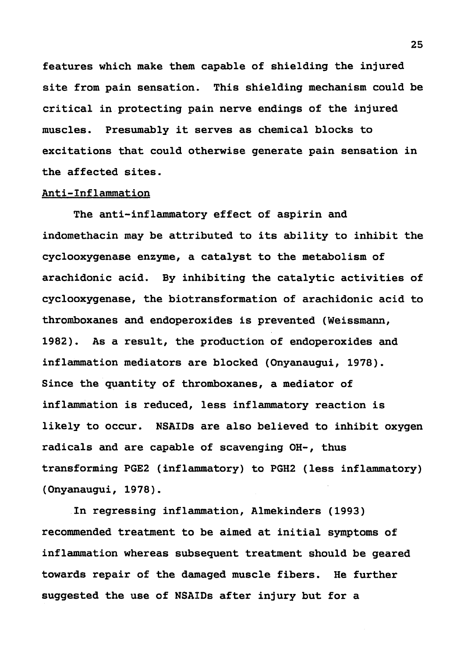features which make them capable of shielding the injured site from pain sensation. This shielding mechanism could be critical in protecting pain nerve endings of the injured muscles. Presumably it serves as chemical blocks to excitations that could otherwise generate pain sensation in the affected sites.

#### Anti-Inflammation

The anti-inflammatory effect of aspirin and indomethacin may be attributed to its ability to inhibit the cyclooxygenase enzyme, a catalyst to the metabolism of arachidonic acid. By inhibiting the catalytic activities of cyclooxygenase, the biotransformation of arachidonic acid to thromboxanes and endoperoxides is prevented (Weissmann, 1982). As a result, the production of endoperoxides and inflammation mediators are blocked (Onyanaugui, 1978). Since the quantity of thromboxanes, a mediator of inflammation is reduced, less inflammatory reaction is likely to occur. NSAIDs are also believed to inhibit oxygen radicals and are capable of scavenging OH-, thus transforming PGE2 (inflammatory) to PGH2 (less inflammatory) (Onyanaugui, 1978).

In regressing inflammation, Almekinders (1993) recommended treatment to be aimed at initial symptoms of inflammation whereas subsequent treatment should be geared towards repair of the damaged muscle fibers. He further suggested the use of NSAIDs after injury but for a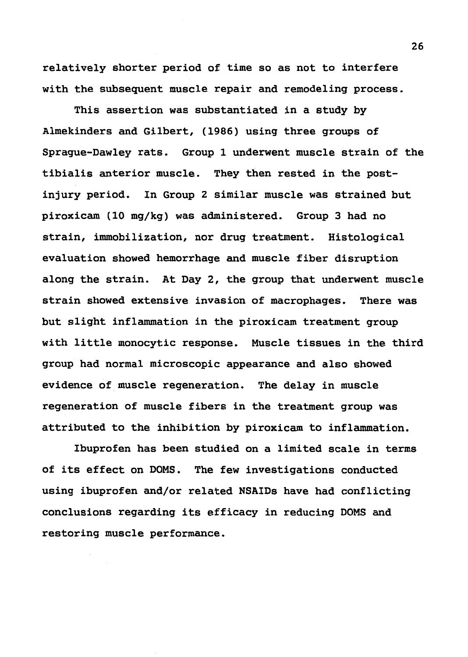relatively shorter period of time so as not to interfere with the subsequent muscle repair and remodeling process.

This assertion was substantiated in a study by Almekinders and Gilbert, (1986) using three groups of Sprague-Dawley rats. Group 1 underwent muscle strain of the tibialis anterior muscle. They then rested in the postinjury period. In Group 2 similar muscle was strained but piroxicam (10 mg/kg) was administered. Group 3 had no strain, immobilization, nor drug treatment. Histological evaluation showed hemorrhage and muscle fiber disruption along the strain. At Day 2, the group that underwent muscle strain showed extensive invasion of macrophages. There was but slight inflammation in the piroxicam treatment group with little monocytic response. Muscle tissues in the third group had normal microscopic appearance and also showed evidence of muscle regeneration. The delay in muscle regeneration of muscle fibers in the treatment group was attributed to the inhibition by piroxicam to inflammation.

Ibuprofen has been studied on a limited scale in terms of its effect on DOMS. The few investigations conducted using ibuprofen and/or related NSAIDs have had conflicting conclusions regarding its efficacy in reducing DOMS and restoring muscle performance.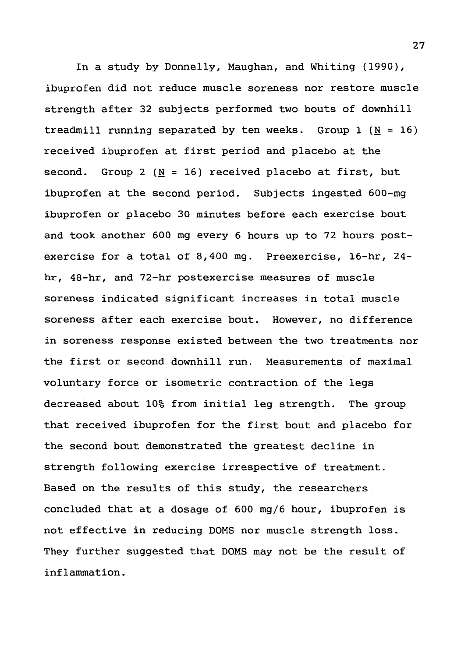In a study by Donnelly, Maughan, and Whiting (1990), ibuprofen did not reduce muscle soreness nor restore muscle strength after 32 subjects performed two bouts of downhill treadmill running separated by ten weeks. Group 1 ( $N = 16$ ) received ibuprofen at first period and placebo at the second. Group 2 (N = 16) received placebo at first, but ibuprofen at the second period. Subjects ingested 600-mg ibuprofen or placebo 30 minutes before each exercise bout and took another 600 mg every 6 hours up to 72 hours postexercise for a total of 8,400 mg. Preexercise, 16-hr, 24 hr, 48-hr, and 72-hr postexercise measures of muscle soreness indicated significant increases in total muscle soreness after each exercise bout. However, no difference in soreness response existed between the two treatments nor the first or second downhill run. Measurements of maximal voluntary force or isometric contraction of the legs decreased about 10% from initial leg strength. The group that received ibuprofen for the first bout and placebo for the second bout demonstrated the greatest decline in strength following exercise irrespective of treatment. Based on the results of this study, the researchers concluded that at a dosage of 600 mg/6 hour, ibuprofen is not effective in reducing DOMS nor muscle strength loss. They further suggested that DOMS may not be the result of inflammation.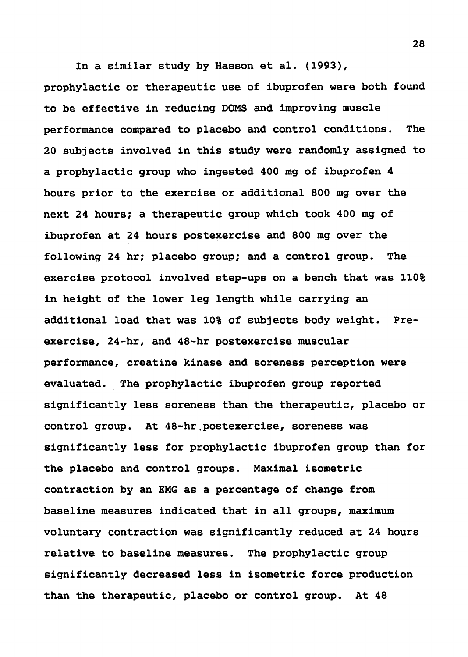In a similar study by Hasson et al. (1993), prophylactic or therapeutic use of ibuprofen were both found to be effective in reducing DOMS and improving muscle performance compared to placebo and control conditions. The 20 subjects involved in this study were randomly assigned to a prophylactic group who ingested 400 mg of ibuprofen 4 hours prior to the exercise or additional 800 mg over the next 24 hours; a therapeutic group which took 400 mg of ibuprofen at 24 hours postexercise and 800 mg over the following 24 hr; placebo group; and a control group. The exercise protocol involved step-ups on a bench that was 110% in height of the lower leg length while carrying an additional load that was 10% of subjects body weight. Preexercise, 24-hr, and 48-hr postexercise muscular performance, creatine kinase and soreness perception were evaluated. The prophylactic ibuprofen group reported significantly less soreness than the therapeutic, placebo or control group. At 48-hr.postexercise, soreness was significantly less for prophylactic ibuprofen group than for the placebo and control groups. Maximal isometric contraction by an EMG as a percentage of change from baseline measures indicated that in all groups, maximum voluntary contraction was significantly reduced at 24 hours relative to baseline measures. The prophylactic group significantly decreased less in isometric force production than the therapeutic, placebo or control group. At 48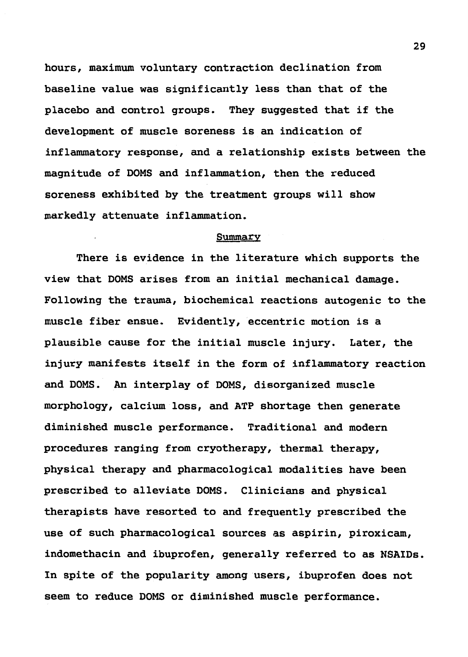hours, maximum voluntary contraction declination from baseline value was significantly less than that of the placebo and control groups. They suggested that if the development of muscle soreness is an indication of inflammatory response, and a relationship exists between the magnitude of DOMS and inflammation, then the reduced soreness exhibited by the treatment groups will show markedly attenuate inflammation.

#### Summary

There is evidence in the literature which supports the view that DOMS arises from an initial mechanical damage. Following the trauma, biochemical reactions autogenic to the muscle fiber ensue. Evidently, eccentric motion is a plausible cause for the initial muscle injury. Later, the injury manifests itself in the form of inflammatory reaction and DOMS. An interplay of DOMS, disorganized muscle morphology, calcium loss, and ATP shortage then generate diminished muscle performance. Traditional and modern procedures ranging from cryotherapy, thermal therapy, physical therapy and pharmacological modalities have been prescribed to alleviate DOMS. Clinicians and physical therapists have resorted to and frequently prescribed the use of such pharmacological sources as aspirin, piroxicam, indomethacin and ibuprofen, generally referred to as NSAIDs. In spite of the popularity among users, ibuprofen does not seem to reduce DOMS or diminished muscle performance.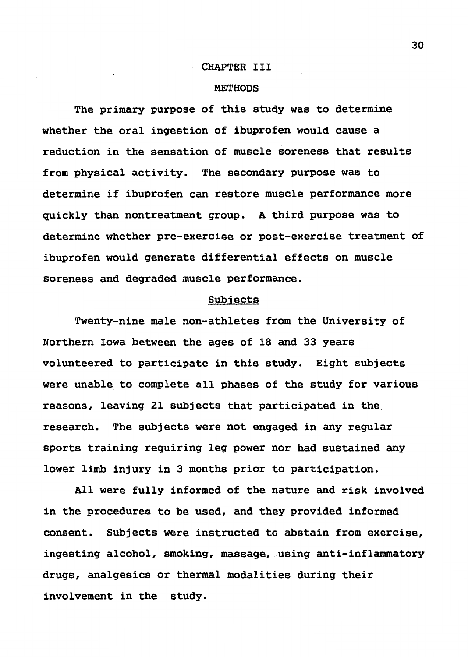#### CHAPTER III

#### **METHODS**

The primary purpose of this study was to determine whether the oral ingestion of ibuprofen would cause a reduction in the sensation of muscle soreness that results from physical activity. The secondary purpose was to determine if ibuprofen can restore muscle performance more quickly than nontreatment group. A third purpose was to determine whether pre-exercise or post-exercise treatment of ibuprofen would generate differential effects on muscle soreness and degraded muscle performance.

#### Subjects

Twenty-nine male non-athletes from the University of Northern Iowa between the ages of 18 and 33 years volunteered to participate in this study. Eight subjects were unable to complete all phases of the study for various reasons, leaving 21 subjects that participated in the. research. The subjects were not engaged in any regular sports training requiring leg power nor had sustained any lower limb injury in 3 months prior to participation.

All were fully informed of the nature and risk involved in the procedures to be used, and they provided informed consent. Subjects were instructed to abstain from exercise, ingesting alcohol, smoking, massage, using anti-inflammatory drugs, analgesics or thermal modalities during their involvement in the study.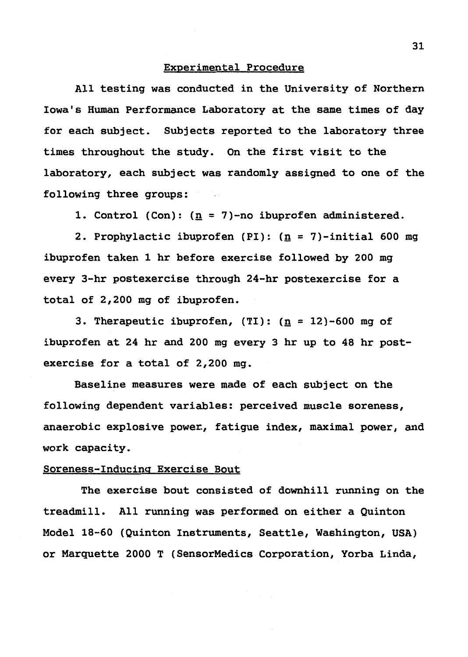#### Experimental Procedure

All testing was conducted in the University of Northern Iowa's Human Performance Laboratory at the same times of day for each subject. Subjects reported to the laboratory three times throughout the study. On the first visit to the laboratory, each subject was randomly assigned to one of the following three groups:

1. Control (Con): (n = 7)-no ibuprofen administered.

2. Prophylactic ibuprofen (PI): (n = 7)-initial 600 mg ibuprofen taken 1 hr before exercise followed by 200 mg every 3-hr postexercise through 24-hr postexercise for a total of 2,200 mg of ibuprofen.

3. Therapeutic ibuprofen,  $(TI): (n = 12) - 600$  mg of ibuprofen at 24 hr and 200 mg every 3 hr up to 48 hr postexercise for a total of 2,200 mg.

Baseline measures were made of each subject on the following dependent variables: perceived muscle soreness, anaerobic explosive power., fatigue index, maximal power, and work capacity.

#### Soreness-Inducing Exercise Bout

The exercise bout consisted of downhill running on the treadmill. All running was performed on either a Quinton Model 18-60 (Quinton Instruments, Seattle, Washington, USA) or Marquette 2000 T (SensorMedics Corporation, Yorba Linda,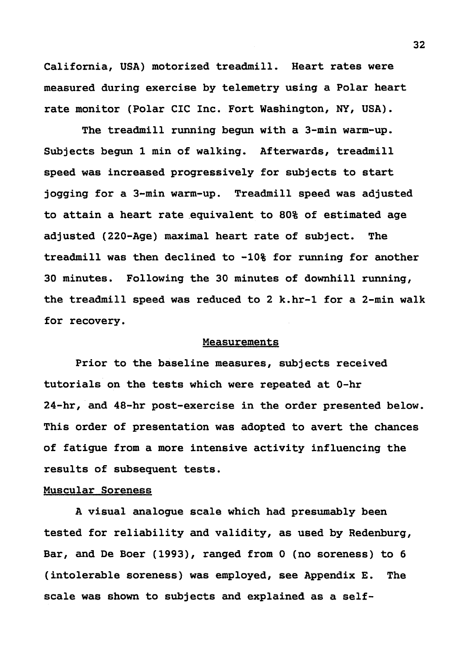California, USA) motorized treadmill. Heart rates were measured during exercise by telemetry using a Polar heart rate monitor (Polar CIC Inc. Fort Washington, NY, USA).

The treadmill running begun with a 3-min warm-up. Subjects begun 1 min of walking. Afterwards, treadmill speed was increased progressively for subjects to start jogging for a 3-min warm-up. Treadmill speed was adjusted to attain a heart rate equivalent to 80% of estimated age adjusted (220-Age) maximal heart rate of subject. The treadmill was then declined to -10% for running for another 30 minutes. Following the 30 minutes of downhill running, the treadmill speed was reduced to 2 k.hr-1 for a 2-min walk for recovery.

#### Measurements

Prior to the baseline measures, subjects received tutorials on the tests which were repeated at 0-hr 24-hr, and 48-hr post-exercise in the order presented below. This order of presentation was adopted to avert the chances of fatigue from a more intensive activity influencing the results of subsequent tests.

## Muscular Soreness

A visual analogue scale which had presumably been tested for reliability and validity, as used by Redenburg, Bar, and De Boer (1993), ranged from O (no soreness) to 6 (intolerable soreness) was employed, see Appendix E. The scale was shown to subjects and explained as a self-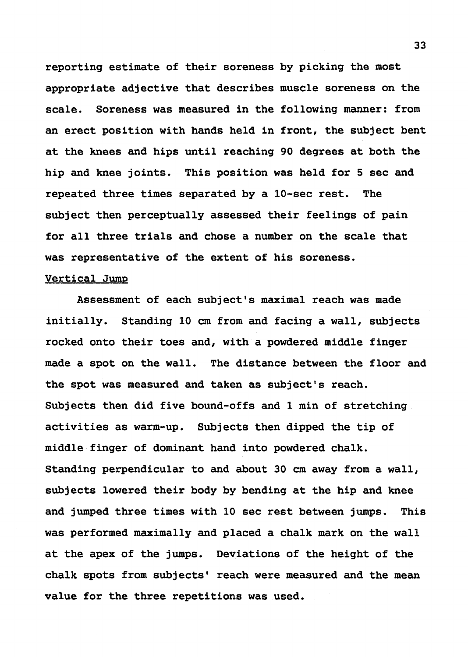reporting estimate of their soreness by picking the most appropriate adjective that describes muscle soreness on the scale. Soreness was measured in the following manner: from an erect position with hands held in front, the subject bent at the knees and hips until reaching 90 degrees at both the hip and knee joints. This position was held for 5 sec and repeated three times separated by a 10-sec rest. The subject then perceptually assessed their feelings of pain for all three trials and chose a number on the scale that was representative of the extent of his soreness.

#### Vertical Jump

Assessment of each subject's maximal reach was made initially. Standing 10 cm from and facing a wall, subjects rocked onto their toes and, with a powdered middle finger made a spot on the wall. The distance between the floor and the spot was measured and taken as subject's reach. Subjects then did five bound-offs and 1 min of stretching activities as warm-up. Subjects then dipped the tip of middle finger of dominant hand into powdered chalk. Standing perpendicular to and about 30 cm away from a wall, subjects lowered their body by bending at the hip and knee and jumped three times with 10 sec rest between jumps. This was performed maximally and placed a chalk mark on the wall at the apex of the jumps. Deviations of the height of the chalk spots from subjects' reach were measured and the mean value for the three repetitions was used.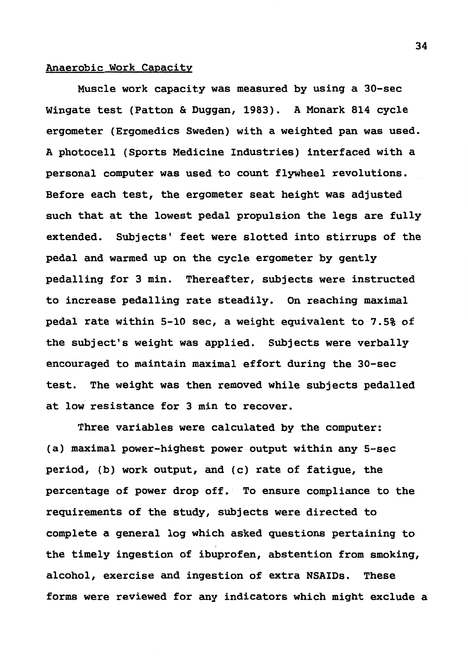## Anaerobic Work Capacity

Muscle work capacity was measured by using a 30-sec Wingate test (Patton & Duggan, 1983). A Monark 814 cycle ergometer (Ergomedics Sweden) with a weighted pan was used. A photocell (Sports Medicine Industries) interfaced with a personal computer was used to count flywheel revolutions. Before each test, the ergometer seat height was adjusted such that at the lowest pedal propulsion the legs are fully extended. Subjects' feet were slotted into stirrups of the pedal and warmed up on the cycle ergometer by gently pedalling for 3 min. Thereafter, subjects were instructed to increase pedalling rate steadily. On reaching maximal pedal rate within 5-10 sec, a weight equivalent to 7.5% of the subject's weight was applied. Subjects were verbally encouraged to maintain maximal effort during the 30-sec test. The weight was then removed while subjects pedalled at low resistance for 3 min to recover.

Three variables were calculated by the computer: (a) maximal power-highest power output within any 5-sec period, (b) work output, and (c) rate of fatigue, the percentage of power drop off. To ensure compliance to the requirements of the study, subjects were directed to complete a general log which asked questions pertaining to the timely ingestion of ibuprofen, abstention from smoking, alcohol, exercise and ingestion of extra NSAIDs. These forms were reviewed for any indicators which might exclude a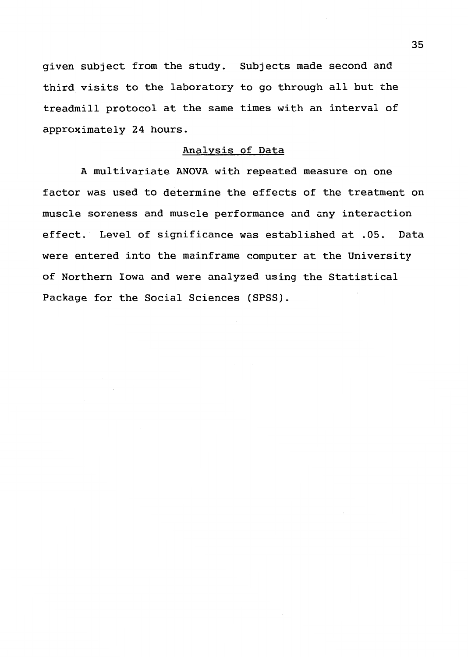given subject from the study. Subjects made second and third visits to the laboratory to go through all but the treadmill protocol at the same times with an interval of approximately 24 hours.

#### Analysis of Data

A multivariate ANOVA with repeated measure on one factor was used to determine the effects of the treatment on muscle soreness and muscle performance and any interaction effect. Level of significance was established at .05. Data were entered into the mainframe computer at the University of Northern Iowa and were analyzed using the Statistical Package for the Social Sciences (SPSS).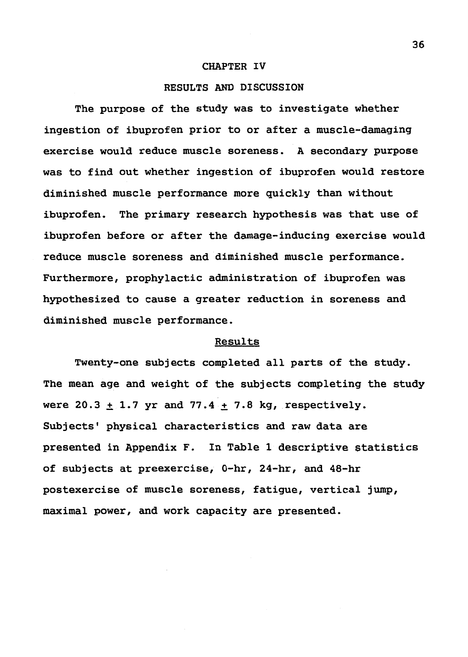#### **CHAPTER IV**

## **RESULTS AND DISCUSSION**

The purpose of the study was to investigate whether ingestion of ibuprofen prior to or after a muscle-damaging exercise would reduce muscle soreness. A secondary purpose was to find out whether ingestion of ibuprofen would restore diminished muscle performance more quickly than without ibuprofen. The primary research hypothesis was that use of ibuprofen before or after the damage-inducing exercise would reduce muscle soreness and diminished muscle performance. Furthermore, prophylactic administration of ibuprofen was hypothesized to cause a greater reduction in soreness and diminished muscle performance.

### Results

Twenty-one subjects completed all parts of the study. The mean age and weight of the subjects completing the study were  $20.3 \pm 1.7$  yr and  $77.4 \pm 7.8$  kg, respectively. Subjects' physical characteristics and raw data are presented in Appendix F. In Table 1 descriptive statistics of subjects at preexercise, 0-hr, 24-hr, and 48-hr postexercise of muscle soreness, fatigue, vertical jump, maximal power, and work capacity are presented.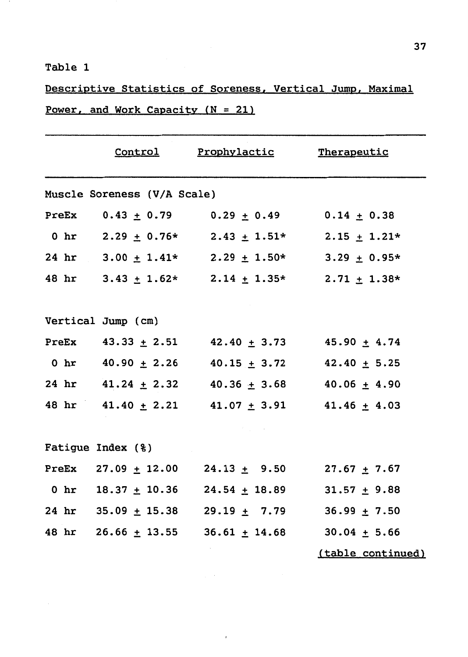## Table 1

Descriptive Statistics of Soreness, Vertical Jump, Maximal Power, and Work Capacity  $(N = 21)$ 

|                             |  | Control Prophylactic Therapeutic                           |                   |  |  |
|-----------------------------|--|------------------------------------------------------------|-------------------|--|--|
| Muscle Soreness (V/A Scale) |  |                                                            |                   |  |  |
|                             |  | PreEx $0.43 \pm 0.79$ $0.29 \pm 0.49$ $0.14 \pm 0.38$      |                   |  |  |
|                             |  | 0 hr 2.29 $\pm$ 0.76* 2.43 $\pm$ 1.51* 2.15 $\pm$ 1.21*    |                   |  |  |
|                             |  | 24 hr $3.00 \pm 1.41*$ 2.29 $\pm 1.50*$ 3.29 $\pm 0.95*$   |                   |  |  |
|                             |  | 48 hr $3.43 \pm 1.62*$ $2.14 \pm 1.35*$ $2.71 \pm 1.38*$   |                   |  |  |
|                             |  |                                                            |                   |  |  |
| Vertical Jump (cm)          |  |                                                            |                   |  |  |
|                             |  | PreEx $43.33 \pm 2.51$ $42.40 \pm 3.73$ $45.90 \pm 4.74$   |                   |  |  |
|                             |  | 0 hr $40.90 \pm 2.26$ $40.15 \pm 3.72$ $42.40 \pm 5.25$    |                   |  |  |
|                             |  | 24 hr $41.24 \pm 2.32$ $40.36 \pm 3.68$ $40.06 \pm 4.90$   |                   |  |  |
|                             |  | 48 hr 41.40 $\pm$ 2.21 41.07 $\pm$ 3.91 41.46 $\pm$ 4.03   |                   |  |  |
|                             |  |                                                            |                   |  |  |
| Fatigue Index (%)           |  |                                                            |                   |  |  |
|                             |  | PreEx 27.09 $\pm$ 12.00 24.13 $\pm$ 9.50 27.67 $\pm$ 7.67  |                   |  |  |
|                             |  | 0 hr $18.37 \pm 10.36$ $24.54 \pm 18.89$ $31.57 \pm 9.88$  |                   |  |  |
|                             |  | 24 hr 35.09 $\pm$ 15.38 29.19 $\pm$ 7.79 36.99 $\pm$ 7.50  |                   |  |  |
|                             |  | 48 hr 26.66 $\pm$ 13.55 36.61 $\pm$ 14.68 30.04 $\pm$ 5.66 |                   |  |  |
|                             |  |                                                            | (table continued) |  |  |

 $\mathbb{R}^{n \times n}$ 

 $\pmb{\cdot}$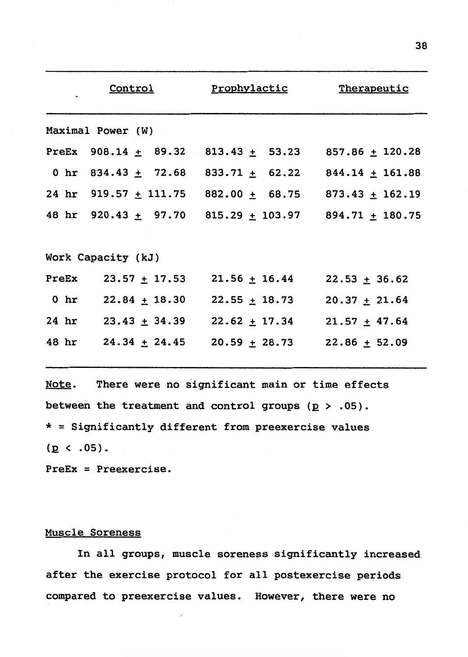|                   | Control                 | Prophylactic                                                     | Therapeutic       |  |
|-------------------|-------------------------|------------------------------------------------------------------|-------------------|--|
| Maximal Power (W) |                         |                                                                  |                   |  |
|                   |                         | PreEx $908.14 \pm 89.32$ $813.43 \pm 53.23$ $857.86 \pm 120.28$  |                   |  |
|                   |                         | 0 hr 834.43 $\pm$ 72.68 833.71 $\pm$ 62.22 844.14 $\pm$ 161.88   |                   |  |
|                   |                         | 24 hr 919.57 $\pm$ 111.75 882.00 $\pm$ 68.75 873.43 $\pm$ 162.19 |                   |  |
|                   |                         | 48 hr 920.43 $\pm$ 97.70 815.29 $\pm$ 103.97 894.71 $\pm$ 180.75 |                   |  |
|                   | Work Capacity (kJ)      |                                                                  |                   |  |
|                   | PreEx $23.57 \pm 17.53$ | $21.56 \pm 16.44$                                                | $22.53 \pm 36.62$ |  |
|                   | 0 hr 22.84 $\pm$ 18.30  | $22.55 \pm 18.73$                                                | $20.37 \pm 21.64$ |  |
|                   |                         | 24 hr 23.43 $\pm$ 34.39 22.62 $\pm$ 17.34                        | $21.57 \pm 47.64$ |  |
|                   |                         | 48 hr 24.34 $\pm$ 24.45 20.59 $\pm$ 28.73                        | $22.86 \pm 52.09$ |  |

Note. There were no significant main or time effects between the treatment and control groups  $(p > .05)$ . \*=Significantly different from preexercise values  $(p \lt .05)$ .

PreEx = Preexercise.

### Muscle Soreness

In all groups, muscle soreness significantly increased after the exercise protocol for all postexercise periods compared to preexercise values. However, there were no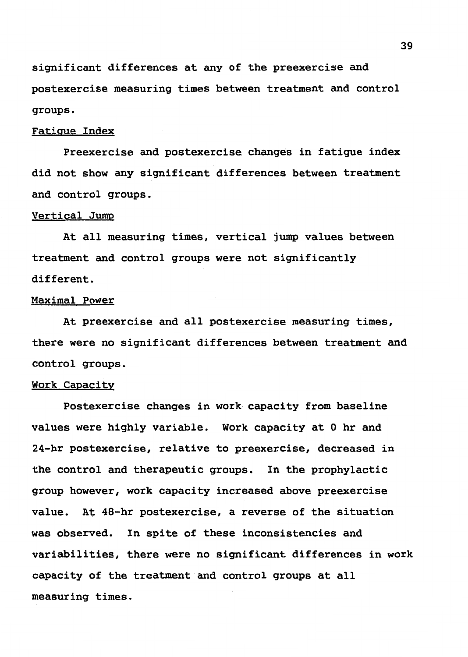significant differences at any of the preexercise and postexercise measuring times between treatment and control groups.

#### Fatigue Index

Preexercise and postexercise changes in fatigue index did not show any significant differences between treatment and control groups.

#### Vertical Jump

At all measuring times, vertical jump values between treatment and control groups were not significantly different.

#### Maximal Power

At preexercise and all postexercise measuring times, there were no significant differences between treatment and control groups.

#### Work Capacity

Postexercise changes in work capacity from baseline values were highly variable. Work capacity at Ohr and 24-hr postexercise, relative to preexercise, decreased in the control and therapeutic groups. In the prophylactic group however, work capacity increased above preexercise value. At 48-hr postexercise, a reverse of the situation was observed. In spite of these inconsistencies and variabilities, there were no significant differences in work capacity of the treatment and control groups at all measuring times.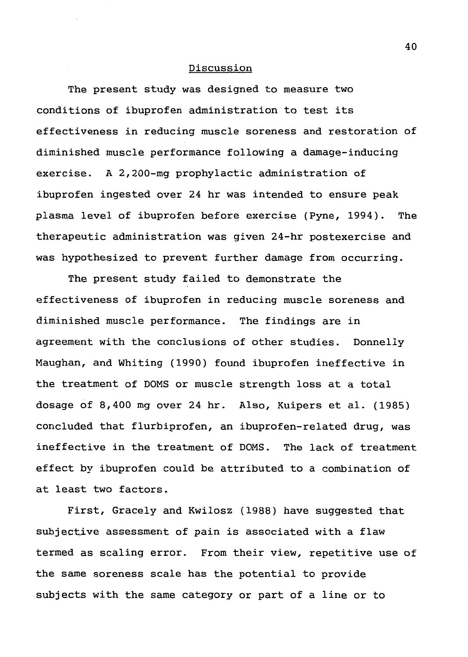#### Discussion

The present study was designed to measure two conditions of ibuprofen administration to test its effectiveness in reducing muscle soreness and restoration of diminished muscle performance following a damage-inducing exercise. A 2,200-mg prophylactic administration of ibuprofen ingested over 24 hr was intended to ensure peak plasma level of ibuprofen before exercise (Pyne, 1994). The therapeutic administration was given 24-hr postexercise and was hypothesized to prevent further damage from occurring.

The present study failed to demonstrate the effectiveness of ibuprofen in reducing muscle soreness and diminished muscle performance. The findings are in agreement with the conclusions of other studies. Donnelly Maughan, and Whiting (1990) found ibuprofen ineffective in the treatment of DOMS or muscle strength loss at a total dosage of 8,400 mg over 24 hr. Also, Kuipers et al. (1985) concluded that flurbiprofen, an ibuprofen-related drug, was ineffective in the treatment of DOMS. The lack of treatment effect by ibuprofen could be attributed to a combination of at least two factors.

First, Gracely and Kwilosz (1988) have suggested that subjectjve assessment of pain is associated with a flaw termed as scaling error. From their view, repetitive use of the same soreness scale has the potential to provide subjects with the same category or part of a line or to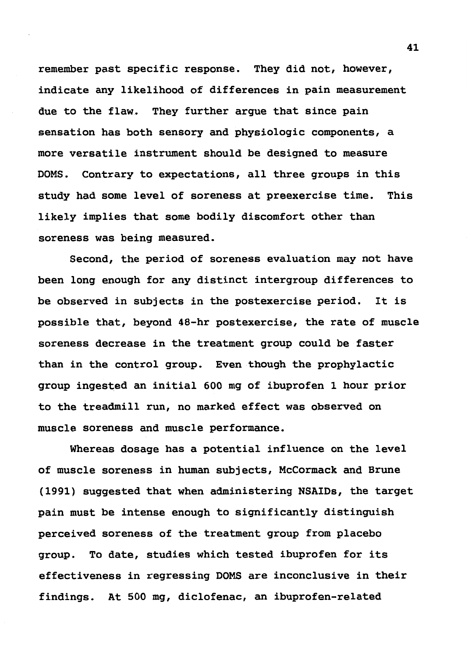remember past specific response. They did not, however, indicate any likelihood of differences in pain measurement due to the flaw. They further argue that since pain sensation has both sensory and physiologic components, a more versatile instrument should be designed to measure DOMS. Contrary to expectations, all three groups in this study had some level of soreness at preexercise time. This likely implies that some bodily discomfort other than soreness was being measured.

Second, the period of soreness evaluation may not have been long enough for any distinct intergroup differences to be observed in subjects in the postexercise period. It is possible that, beyond 48-hr postexercise, the rate of muscle soreness decrease in the treatment group could be faster than in the control group. Even though the prophylactic group ingested an initial 600 mg of ibuprofen 1 hour prior to the treadmill run, no marked effect was observed on muscle soreness and muscle performance.

Whereas dosage has a potential influence on the level of muscle soreness in human subjects, McCormack and Brune (1991) suggested that when administering NSAIDs, the target pain must be intense enough to significantly distinguish perceived soreness of the treatment group from placebo group. To date, studies which tested ibuprofen for its effectiveness in regressing DOMS are inconclusive in their findings. At 500 mg, diclofenac, an ibuprofen-related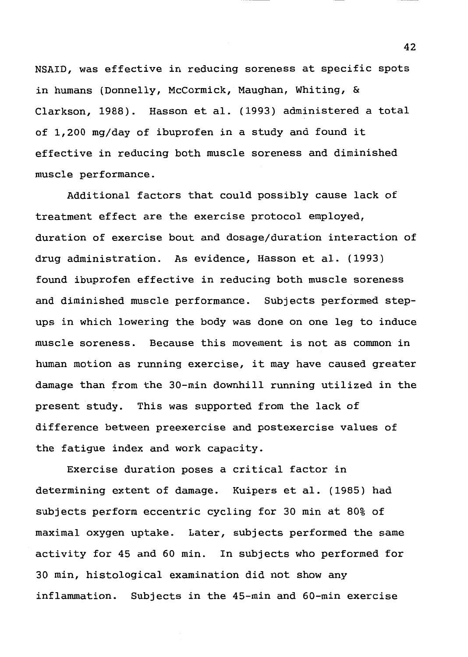NSAID, was effective in reducing soreness at specific spots in humans (Donnelly, McCormick, Maughan, Whiting, & Clarkson, 1988). Hasson et al. (1993) administered a total of 1,200 mg/day of ibuprofen in a study and found it effective in reducing both muscle soreness and diminished muscle performance.

Additional factors that could possibly cause lack of treatment effect are the exercise protocol employed, duration of exercise bout and dosage/duration interaction of drug administration. As evidence, Hasson et al. (1993) found ibuprofen effective in reducing both muscle soreness and diminished muscle performance. Subjects performed stepups in which lowering the body was done on one leg to induce muscle soreness. Because this movement is not as common in human motion as running exercise, it may have caused greater damage than from the 30-min downhill running utilized in the present study. This was supported from the lack of difference between preexercise and postexercise values of the fatigue index and work capacity.

Exercise duration poses a critical factor in determining extent of damage. Kuipers et al. (1985) had subjects perform eccentric cycling for 30 min at 80% of maximal oxygen uptake. Later, subjects performed the same activity for 45 and 60 min. In subjects who performed for 30 min, histological examination did not show any inflammation. Subjects in the 45-min and 60-min exercise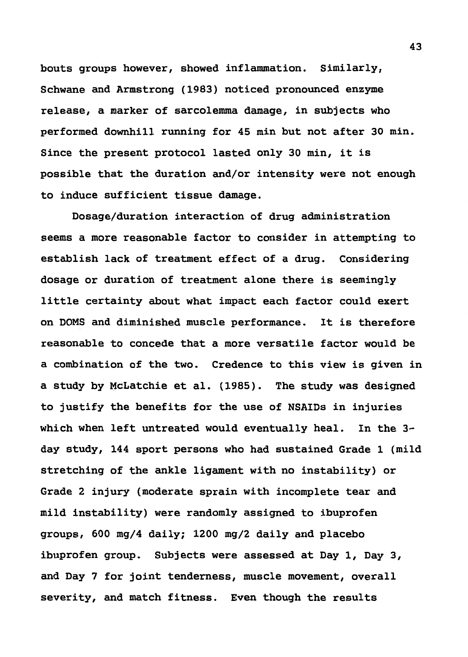bouts groups however, showed inflammation. Similarly, Schwane and Armstrong (1983) noticed pronounced enzyme release, a marker of sarcolemma damage, in subjects who performed downhill running for 45 min but not after 30 min. Since the present protocol lasted only 30 min, it is possible that the duration and/or intensity were not enough to induce sufficient tissue damage.

Dosage/duration interaction of drug administration seems a more reasonable factor to consider in attempting to establish lack of treatment effect of a drug. Considering dosage or duration of treatment alone there is seemingly little certainty about what impact each factor could exert on DOMS and diminished muscle performance. It is therefore reasonable to concede that a more versatile factor would be a combination of the two. Credence to this view is given in a study by McLatchie et al. (1985). The study was designed to justify the benefits for the use of NSAIDs in injuries which when left untreated would eventually heal. In the 3 day study, 144 sport persons who had sustained Grade 1 (mild stretching of the ankle ligament with no instability) or Grade 2 injury (moderate sprain with incomplete tear and mild instability) were randomly assigned to ibuprofen groups, 600 mg/4 daily; 1200 mg/2 daily and placebo ibuprofen group. Subjects were assessed at Day 1, Day 3, and Day 7 for joint tenderness, muscle movement, overall severity, and match fitness. Even though the results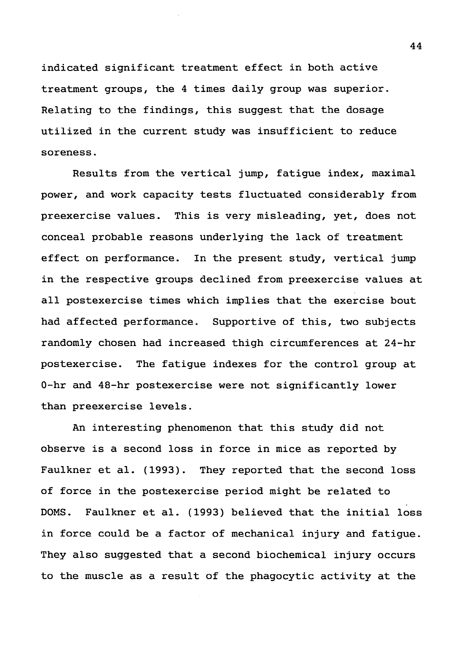indicated significant treatment effect in both active treatment groups, the 4 times daily group was superior. Relating to the findings, this suggest that the dosage utilized in the current study was insufficient to reduce soreness.

Results from the vertical jump, fatigue index, maximal power, and work capacity tests fluctuated considerably from preexercise values. This is very misleading, yet, does not conceal probable reasons underlying the lack of treatment effect on performance. In the present study, vertical jump in the respective groups declined from preexercise values at all postexercise times which implies that the exercise bout had affected performance. Supportive of this, two subjects randomly chosen had increased thigh circumferences at 24-hr postexercise. The fatigue indexes for the control group at 0-hr and 48-hr postexercise were not significantly lower than preexercise levels.

An interesting phenomenon that this study did not observe is a second loss in force in mice as reported by Faulkner et al. (1993). They reported that the second loss of force in the postexercise period might be related to DOMS. Faulkner et al. (1993) believed that the initial loss in force could be a factor of mechanical injury and fatigue. They also suggested that a second biochemical injury occurs to the muscle as a result of the phagocytic activity at the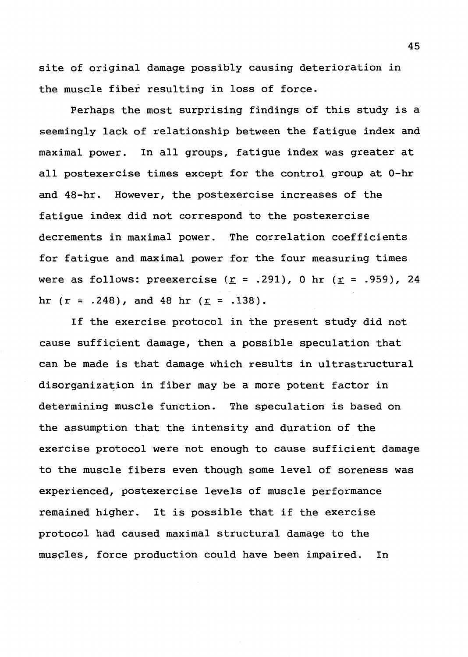site of original damage possibly causing deterioration in the muscle fiber resulting in loss of force.

Perhaps the most surprising findings of this study is a seemingly lack of relationship between the fatigue index and maximal power. In all groups, fatigue index was greater at all postexercise times except for the control group at 0-hr and 48-hr. However, the postexercise increases of the fatigue index did not correspond to the postexercise decrements in maximal power. The correlation coefficients for fatigue and maximal power for the four measuring times were as follows: preexercise  $(r = .291)$ , 0 hr  $(r = .959)$ , 24 hr  $(r = .248)$ , and 48 hr  $(r = .138)$ .

If the exercise protocol in the present study did not cause sufficient damage, then a possible speculation that can be made is that damage which results in ultrastructural disorganization in fiber may be a more potent factor in determining muscle function. The speculation is based on the assumption that the intensity and duration of the exercise protocol were not enough to cause sufficient damage to the muscle fibers even though some level of soreness was experienced, postexercise levels of muscle performance remained higher. It is possible that if the exercise protocol had caused maximal structural damage to the muscles, force production could have been impaired. In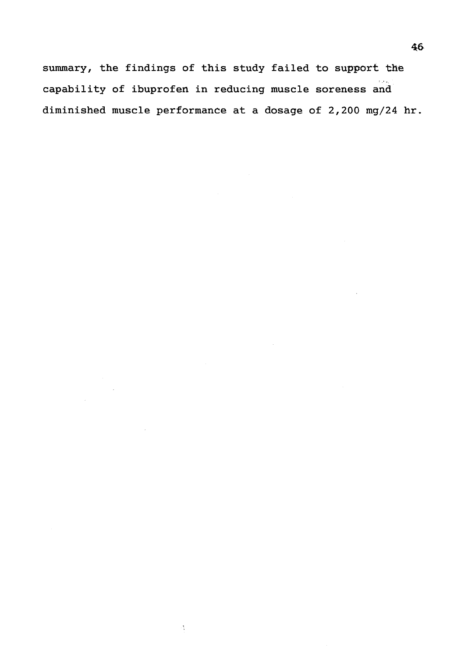summary, the findings of this study failed to support the capability of ibuprofen in reducing muscle soreness and diminished muscle performance at a dosage of 2,200 mg/24 hr.

 $\sim$   $\sim$ 

 $\mathcal{O}_{\mathcal{C}}$ 

 $\sim$   $\mu$ 

 $\bar{z}$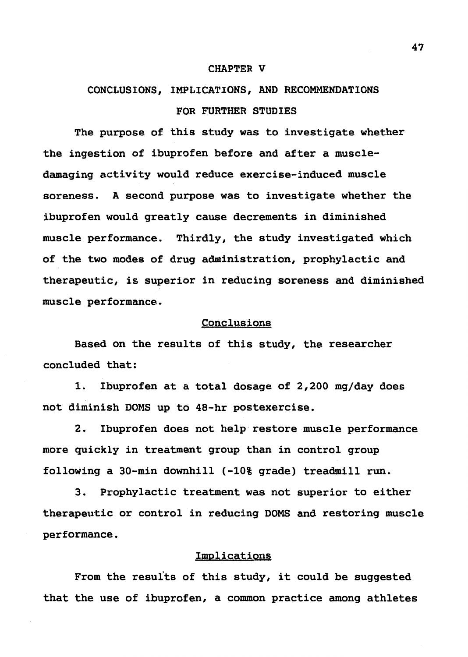#### CHAPTER V

# CONCLUSIONS, IMPLICATIONS, AND RECOMMENDATIONS FOR FURTHER STUDIES

The purpose of this study was to investigate whether the ingestion of ibuprofen before and after a muscledamaging activity would reduce exercise-induced muscle soreness. A second purpose was to investigate whether the ibuprofen would greatly cause decrements in diminished muscle performance. Thirdly, the study investigated which of the two modes of drug administration, prophylactic and therapeutic, is superior in reducing soreness and diminished muscle performance.

#### Conclusions

Based on the results of this study, the researcher concluded that:

1. Ibuprofen at a total dosage of 2,200 mg/day does not diminish DOMS up to 48-hr postexercise.

2. Ibuprofen does not help·restore muscle performance more quickly in treatment group than in control group following a 30-min downhill (-10% grade) treadmill run.

3. Prophylactic treatment was not superior to either therapeutic or control in reducing DOMS and restoring muscle performance.

## Implications

From the results of this study, it could be suggested that the use of ibuprofen, a common practice among athletes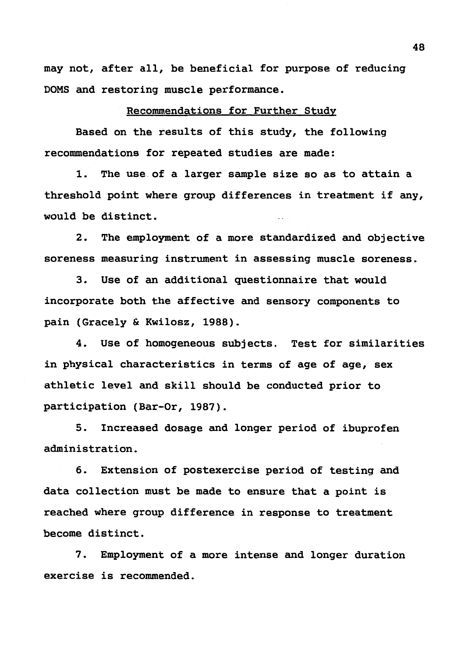may not, after all, be beneficial for purpose of reducing DOMS and restoring muscle performance.

## Recommendations for Further Study

Based on the results of this study, the following recommendations for repeated studies are made:

1. The use of a larger sample size so as to attain a threshold point where group differences in treatment if any, would be distinct.

2. The employment of a more standardized and objective soreness measuring instrument in assessing muscle soreness.

3. Use of an additional questionnaire that would incorporate both the affective and sensory components to pain (Gracely & Kwilosz, 1988).

4. Use of homogeneous subjects. Test for similarities in physical characteristics in terms of age of age, sex athletic level and skill should be conducted prior to participation (Bar-Or, 1987).

5. Increased dosage and longer period of ibuprofen administration.

6. Extension of postexercise period of testing and data collection must be made to ensure that a point is reached where group difference in response to treatment become distinct.

7. Employment of a more intense and longer duration exercise is recommended.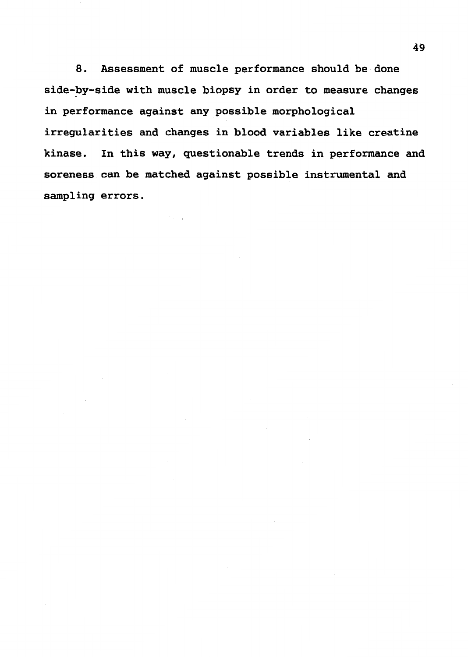8. Assessment of muscle performance should be done side-by-side with muscle biopsy in order to measure changes in performance against any possible morphological irregularities and changes in blood variables like creatine kinase. In this way, questionable trends in performance and soreness can be matched against possible instrumental and sampling errors.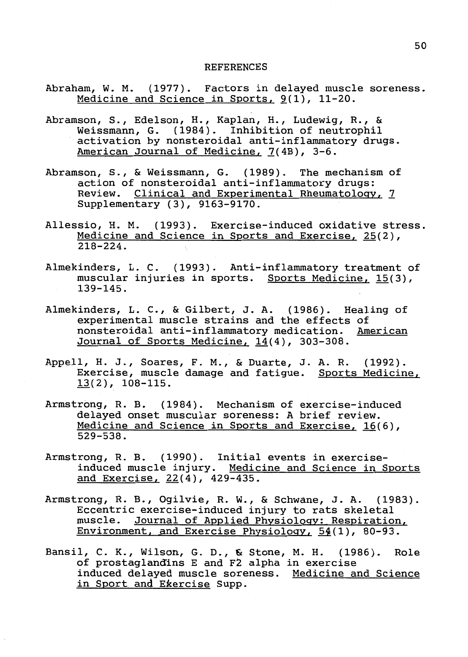#### REFERENCES

- Abraham, W. M. (1977). Factors in delayed muscle soreness. Medicine and Science in Sports,  $9(1)$ , 11-20.
- Abramson, S., Edelson, H., Kaplan, H., Ludewig, R., & Weissmann, G. (1984). Inhibition of neutrophil activation by nonsteroidal anti-inflammatory drugs. American Journal of Medicine, 7(4B), 3-6.
- Abramson, S., & Weissmann, G. (1989). The mechanism of action of nonsteroidal anti-inflammatory drugs: Review. Clinical and Experimental Rheumatology, *2*  Supplementary (3), 9163-9170.
- Allessio, H. M. (1993). Exercise-induced oxidative stress. Medicine and Science in Sports and Exercise, 25(2), 218-224.
- Almekinders, L. C. (1993). Anti-inflammatory treatment of muscular injuries in sports. Sports Medicine, 15(3), 139-145.
- Almekinders, L. C., & Gilbert, J. A. (1986). Healing of experimental muscle strains and the effects of nonsteroidal anti-inflammatory medication. American Journal of Sports Medicine, 14(4), 303-308.
- Appell, H. J., Soares, F. M., & Duarte, J. A. R. (1992). Exercise, muscle damage and fatigue. Sports Medicine, 13(2), 108-115.
- Armstrong, R. B. (1984). Mechanism of exercise-induced delayed onset muscular soreness: A brief review. Medicine and Science in Sports and Exercise, 16(6), 529-538.
- Armstrong, R. B. (1990). Initial events in exerciseinduced muscle injury. Medicine and Science in Sports and Exercise, 22(4), 429-435.
- Armstrong, R. B., Ogilvie, R. W., & Schwane, J. A. (1983). Eccentric exercise-induced injury to rats skeletal muscle. Journal of Applied Physiology: Respiration, Environment, and Exercise Physiology,  $54(1)$ , 80-93.
- Bansil, C. K., Wilson, G.D., & Stone, M. H. (1986). Role of prostaglandins E and F2 alpha in exercise induced delayed muscle soreness. Medicine and Science in Sport and Ekercise Supp.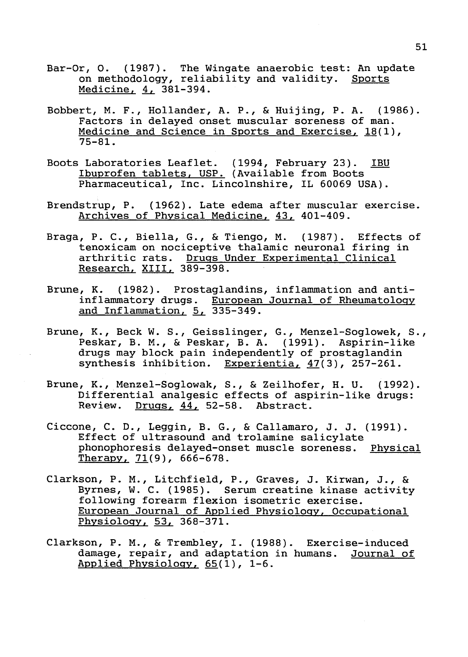- Bar-Or, O. (1987). The Wingate anaerobic test: An update p. 0. (1907). The wingate dimacrosic cest. In apple on methodology, reliability and validity. Sports Medicine, 4, 381-394.
- Bobbert, M. F., Hollander, A. P., & Huijing, P.A. (1986). Factors in delayed onset muscular soreness of man. Medicine and Science in Sports and Exercise, 18(1), 75-81.
- Boots Laboratories Leaflet. (1994, February 23). IBU Ibuprofen tablets, USP. (Available from Boots Pharmaceutical, Inc. Lincolnshire, IL 60069 USA).
- Brendstrup, P. (1962). Late edema after muscular exercise. Archives of Physical Medicine, 43, 401-409.
- Braga, P. C., Biella, G., & Tiengo, M. (1987). Effects of tenoxicam on nociceptive thalamic neuronal firing in arthritic rats. Drugs Under Experimental Clinical Research, XIII, 389-398.
- Brune, K. (1982). Prostaglandins, inflammation and antiinflammatory drugs. European Journal of Rheumatology and Inflammation,  $5, 335-349$ .
- Brune, K., Beck W. S., Geisslinger, G., Menzel-Soglowek, S., Peskar, B. M., & Peskar, B. A. (1991). Aspirin-like drugs may block pain independently of prostaglandin synthesis inhibition. Experientia, 47(3), 257-261.
- Brune, K., Menzel-Soglowak, S., & Zeilhofer, H. U. (1992). Differential analgesic effects of aspirin-like drugs: Review. Drugs, 44, 52-58. Abstract.
- Ciccone, C. D., Leggin, B. G., & Callamaro, J. J. (1991). Effect of ultrasound and trolamine salicylate phonophoresis delayed-onset muscle soreness. Physical Therapy,  $71(9)$ , 666-678.
- Clarkson, P. M., Litchfield, P., Graves, J. Kirwan, J., & Byrnes, W. C. (1985). Serum creatine kinase activity following forearm flexion isometric exercise. European Journal of Applied Physiology, Occupational Physiology, 53, 368-371.
- Clarkson, P. M., & Trembley, I. (1988). Exercise-induced damage, repair, and adaptation in humans. Journal of **Applied Physiology,** 65(1), 1-6.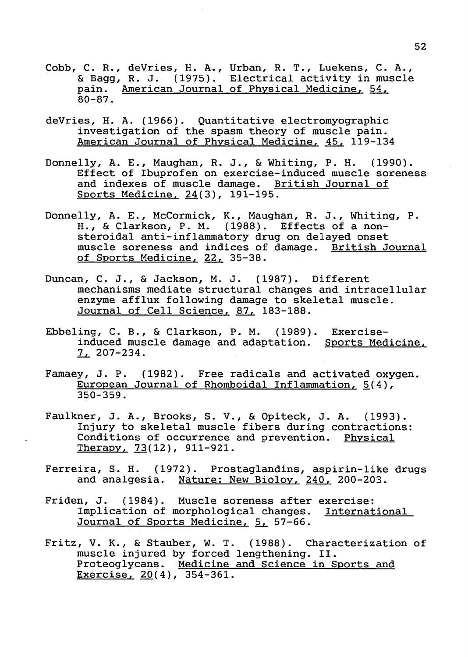- Cobb, C.R., deVries, H. A., Urban, R. T., Luekens, C. A., & Bagg, R. J. (1975). Electrical activity in muscle pain. American Journal of Physical Medicine, 54, 80-87.
- deVries, H. A. (1966). Quantitative electromyographic investigation of the spasm theory of muscle pain. American Journal of Physical Medicine, 45, 119-134
- **Donnelly, A.** E., **Maughan, R. J.,** & **Whiting, P.H.** (1990). Effect of Ibuprofen on exercise-induced muscle soreness and indexes of muscle damage. British Journal of Sports Medicine, 24(3), 191-195.
- Donnelly, A. E., McCormick, K., Maughan, R. J., Whiting, P. H., & Clarkson, P. M. (1988). Effects of a nonsteroidal anti-inflammatory drug on delayed onset muscle soreness and indices of damage. British Journal of Sports Medicine, 22, 35-38.
- Duncan, C. J., & Jackson, M. J. (1987). Different mechanisms mediate structural changes and intracellular enzyme afflux following damage to skeletal muscle. Journal of Cell Science, 87, 183-188.
- Ebbeling, C. B., & Clarkson, P. M. (1989). Exerciseinduced muscle damage and adaptation. Sports Medicine, L... 207-234.
- Famaey, J. P. (1982). Free radicals and activated oxygen. European Journal of Rhomboidal Inflammation,  $5(4)$ , 350-359.
- Faulkner, J. A., Brooks, S. V., & Opiteck, J. A. (1993). Injury to skeletal muscle fibers during contractions: Conditions of occurrence and prevention. Physical Therapy, 73(12), 911-921.
- Ferreira, S. H. (1972). Prostaglandins, aspirin-like drugs and analgesia. Nature: New Bioloy, 240, 200-203.
- Friden, J. (1984). Muscle soreness after exercise: Implication of morphological changes. International Journal of Sports Medicine, 5, 57-66.
- Fritz, V. K., & Stauber, W. T. (1988). Characterization of muscle injured by forced lengthening. II. Proteoglycans. Medicine and Science in Sports and Exercise, 20(4), 354-361.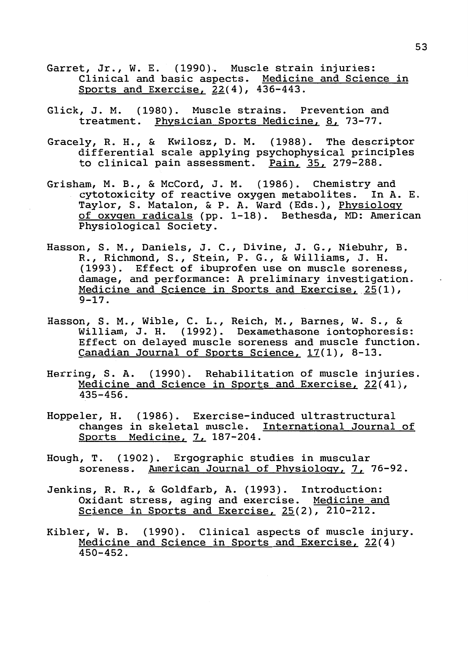- Garret, Jr., W. E. (1990). Muscle strain injuries: Clinical and basic aspects. Medicine and Science in Sports and Exercise, 22(4), 436-443.
- Glick, J.M. (1980). Muscle strains. Prevention and treatment. Physician Sports Medicine, 8, 73-77.
- Gracely, R.H., & Kwilosz, D. M. (1988). The descriptor differential scale applying psychophysical principles to clinical pain assessment. Pain,~ 279-288.
- Grisham, M. B., & McCord, J.M. (1986). Chemistry and cytotoxicity of reactive oxygen metabolites. In A. E. Taylor, S. Matalon, & P. A. Ward (Eds.), Physiology of oxygen radicals (pp. 1-18). Bethesda, MD: American Physiological Society.
- Hasson, S. M., Daniels, J.C., Divine, J. G., Niebuhr, B. R., Richmond, S., Stein, P. G., & Williams, J. H. (1993). Effect of ibuprofen use on muscle soreness, damage, and performance: A preliminary investigation. Medicine and Science in Sports and Exercise, 25(1), 9-17.
- Hasson, S. M., Wible, C. L., Reich, M., Barnes, W. S., & William, J. H. (1992). Dexamethasone iontophoresis: Effect on delayed muscle soreness and muscle function. Canadian Journal of Sports Science, 17(1), 8-13.
- Herring, S. A. (1990). Rehabilitation of muscle injuries. Medicine and Science in Sports and Exercise, 22(41), 435-456.
- Hoppeler, H. (1986). Exercise-induced ultrastructural changes in skeletal muscle. International Journal of Sports Medicine, 7, 187-204.
- Hough, T. (1902). Ergographic studies in muscular soreness. American Journal of Physiology, 7, 76-92.
- Jenkins, R.R., & Goldfarb, A. (1993). Introduction: Oxidant stress, aging and exercise. Medicine and Science in Sports and Exercise, 25(2), 210-212.
- Kibler, W. B. (1990). Clinical aspects of muscle injury. Medicine and Science in Sports and Exercise, 22(4) 450-452.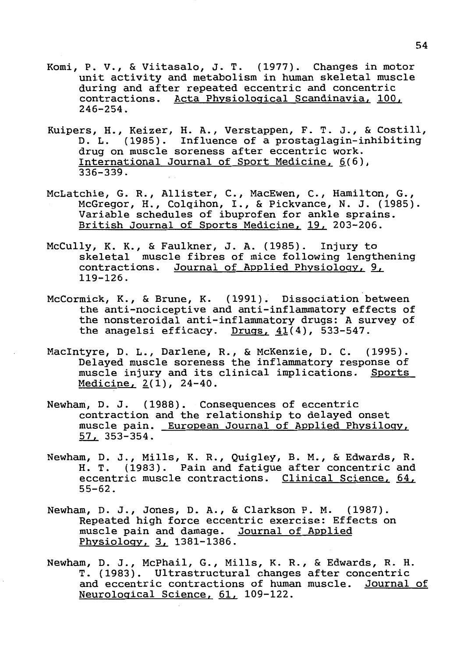- Komi, P. v., & Viitasalo, J. T. (1977). Changes in motor unit activity and metabolism in human skeletal muscle during and after repeated eccentric and concentric contractions. Acta Physiological Scandinavia, 100, 246-254.
- Kuipers, H., Keizer, H. A., Verstappen, F. T. J., & Costill, D. L. (1985). Influence of a prostaglagin-inhibiting drug on muscle soreness after eccentric work. International Journal of Sport Medicine,  $6(6)$ , 336-339.
- McLatchie, G. R., Allister, C., MacEwen, C., Hamilton, G., McGregor, H., Colqihon, I., & Pickvance, N. J. (1985). Variable schedules of ibuprofen for ankle sprains. British Journal of Sports Medicine, 19, 203-206.
- McCully, K. K., & Faulkner, J. A. (1985). Injury to skeletal muscle fibres of mice following lengthening contractions. Journal of Applied Physiology, 9, 119-126.
- McCormick, K., & Brune, K. (1991). Dissociation between the anti-nociceptive and anti-inflammatory effects of the nonsteroidal anti-inflammatory drugs: A survey of the anagelsi efficacy. Drugs,  $41(4)$ , 533-547.
- MacIntyre, D. L., Darlene, R., & McKenzie, D. C. (1995). Delayed muscle soreness the inflammatory response of muscle injury and its clinical implications. Sports  $Medicine,  $2(1)$ ,  $24-40$ .$ </u>
- Newham, D. J. (1988). Consequences of eccentric contraction and the relationship to delayed onset muscle pain. European Journal of Applied Physilogy, ~ 353-354.
- Newham, D. J., Mills, K. R., Quigley, B. M., & Edwards, R. H. T. (1983). Pain and fatigue after concentric and eccentric muscle contractions. Clinical Science,  $64$ , 55-62.
- Newham, D. J., Jones, D. A., & Clarkson P. M. (1987). Repeated high force eccentric exercise: Effects on muscle pain and damage. Journal of Applied Physiology, 3, 1381-1386.
- **Newham,** D. J., **McPhail, G., Mills, K. R.,** & **Edwards, R.H.**  T. (1983). Ultrastructural changes after concentric and eccentric contractions of human muscle. Journal of Neurological Science, 61, 109-122.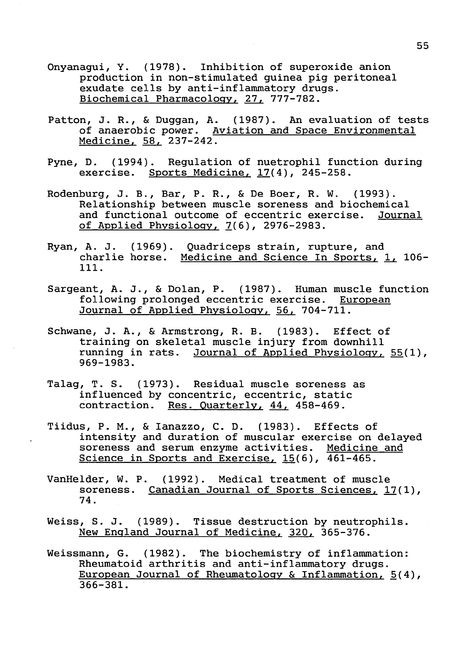- Onyanagui, Y. (1978). Inhibition of superoxide anion production in non-stimulated guinea pig peritoneal exudate cells by anti-inflammatory drugs. Biochemical Pharmacology, 27, 777-782.
- Patton, J. R., & Duggan, A. (1987). An evaluation of tests of anaerobic power. Aviation and Space Environmental Medicine, 58, 237-242.
- Pyne, D. (1994). Regulation of nuetrophil function during exercise. Sports Medicine, 17(4), 245-258.
- Rodenburg, J.B., Bar, P.R., & De Boer, R. W. (1993). Relationship between muscle soreness and biochemical and functional outcome of eccentric exercise. Journal of Applied Physiology,  $7(6)$ , 2976-2983.
- Ryan, A. J. (1969). Quadriceps strain, rupture, and mediction of the servest of the charlie horse. Medicine and Science In Sports, 1, 106-111.
- Sargeant, A. J., & Dolan, P. (1987). Human muscle function following prolonged eccentric exercise. European Journal of Applied Physiology, 56, 704-711.
- Schwane, J. A., & Armstrong, R. B. (1983). Effect of training on skeletal muscle injury from downhill running in rats. Journal of Applied Physiology, 55(1), 969-1983.
- Talag, T. S. (1973). Residual muscle soreness as influenced by concentric, eccentric, static contraction. Res. Quarterly, 44, 458-469.
- Tiidus, P. M., & Ianazzo, C. D. (1983). Effects of intensity and duration of muscular exercise on delayed soreness and serum enzyme activities. Medicine and Science in Sports and Exercise, 15(6), 461-465.
- VanHelder, W. P. (1992). Medical treatment of muscle soreness. Canadian Journal of Sports Sciences, 17(1), 74.
- Weiss, S. J. (1989). Tissue destruction by neutrophils. New England Journal of Medicine, 320, 365-376.
- Weissmann, G. (1982). The biochemistry of inflammation: Rheumatoid arthritis and anti-inflammatory drugs. European Journal of Rheumatology & Inflammation,  $5(4)$ , 366-381.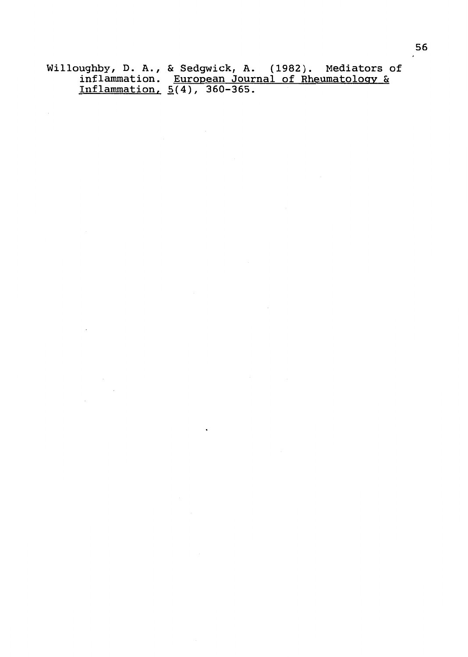Willoughby, D. A., & Sedgwick, A. (1982). Mediators of inflammation. European Journal of Rheumatology & Inflammation,  $5(4)$ ,  $360-365$ .

 $\ddot{\phantom{a}}$ 

 $\mathcal{L}_{\mathcal{A}}$ 

 $\sim 10^{10}$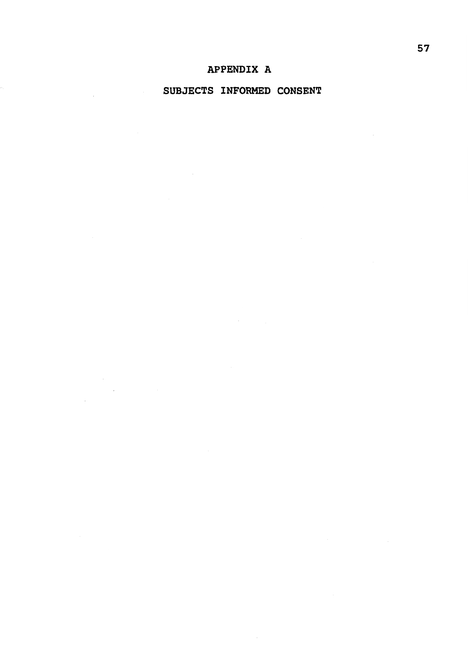## SUBJECTS INFORMED CONSENT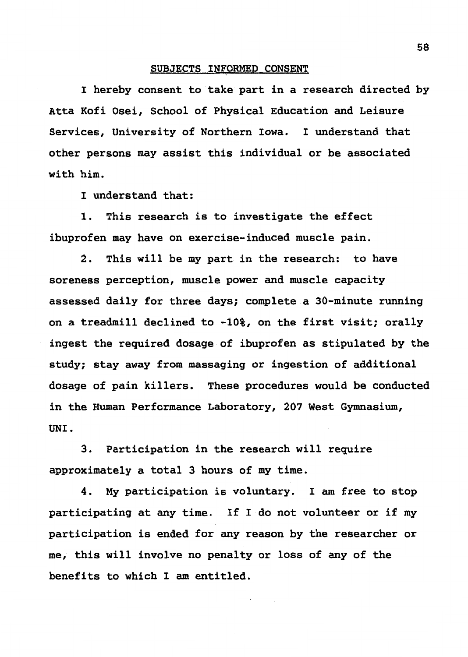## SUBJECTS INFORMED CONSENT

I hereby consent to take part in a research directed by Atta Kofi Osei, School of Physical Education and Leisure Services, University of Northern Iowa. I understand that other persons may assist this individual or be associated with him.

I understand that:

1. This research is to investigate the effect ibuprofen may have on exercise-induced muscle pain.

2. This will be my part in the research: to have soreness perception, muscle power and muscle capacity assessed daily for three days; complete a 30-minute running on a treadmill declined to -10%, on the first visit; orally ingest the required dosage of ibuprofen as stipulated by the study; stay away from massaging or ingestion of additional dosage of pain killers. These procedures would be conducted in the Human Performance Laboratory, 207 West Gymnasium, UNI.

3. Participation in the research will require approximately a total 3 hours of my time.

4. My participation is voluntary. I am free to stop participating at any time. If I do not volunteer or if my participation is ended for any reason by the researcher or me, this will involve no penalty or loss of any of the benefits to which I am entitled.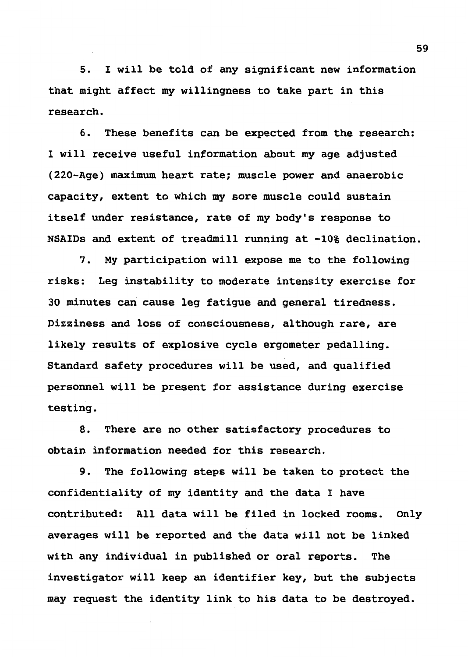5. I will be told of any significant new information that might affect my willingness to take part in this research.

6. These benefits can be expected from the research: I will receive useful information about my age adjusted (220-Age) maximum heart rate; muscle power and anaerobic capacity, extent to which my sore muscle could sustain itself under resistance, rate of my body's response to NSAIDs and extent of treadmill running at -10% declination.

7. My participation will expose me to the following risks: Leg instability to moderate intensity exercise for 30 minutes can cause leg fatigue and general tiredness. Dizziness and loss of consciousness, although rare, are likely results of explosive cycle ergometer pedalling. Standard safety procedures will be used, and qualified personnel will be present for assistance during exercise testing.

8. There are no other satisfactory procedures to obtain information needed for this research.

9. The following steps will be taken to protect the confidentiality of my identity and the data I have contributed: All data will be filed in locked rooms. Only averages will be reported and the data will not be linked with any individual in published or oral reports. The investigator will keep an identifier key, but the subjects may request the identity link to his data to be destroyed.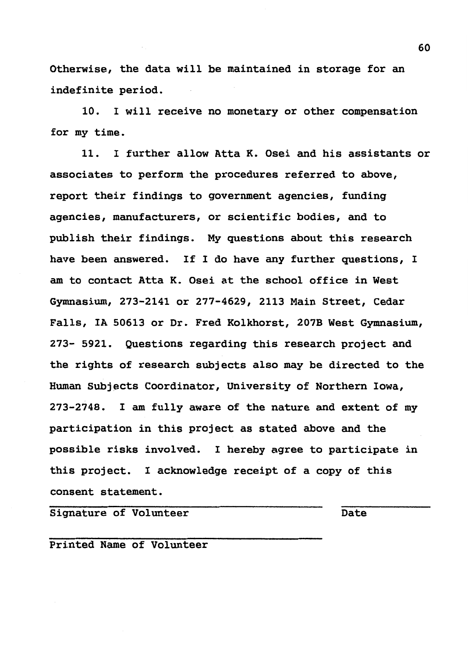Otherwise, the data will be maintained in storage for an indefinite period.

10. I will receive no monetary or other compensation for my time.

11. I further allow Atta K. Osei and his assistants or associates to perform the procedures referred to above, report their findings to government agencies, funding agencies, manufacturers, or scientific bodies, and to publish their findings. My questions about this research have been answered. If I do have any further questions, I am to contact Atta K. Osei at the school office in West Gymnasium, 273-2141 or 277-4629, 2113 Main Street, Cedar Falls, IA 50613 or Dr. Fred Kolkhorst, 207B West Gymnasium, 273- 5921. Questions regarding this research project and the rights of research subjects also may be directed to the Human Subjects Coordinator, University of Northern Iowa, 273-2748. I am fully aware of the nature and extent of my participation in this project as stated above and the possible risks involved. I hereby agree to participate in this project. I acknowledge receipt of a copy of this consent statement.

Signature of Volunteer Date

Printed Name of Volunteer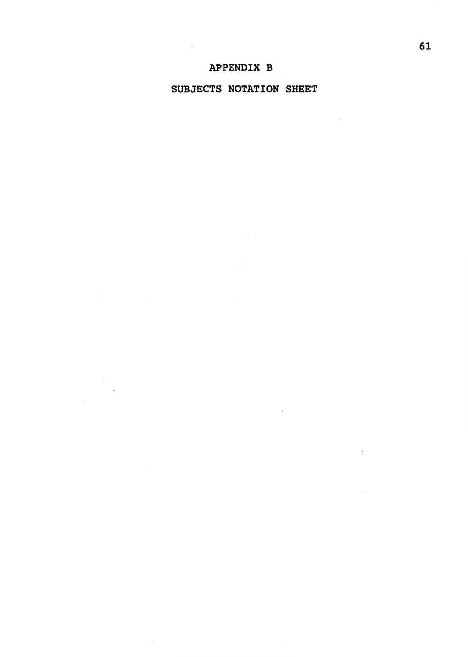$\mathcal{L}_{\mathcal{L}}$ 

 $\overline{\phantom{a}}$ 

## SUBJECTS NOTATION SHEET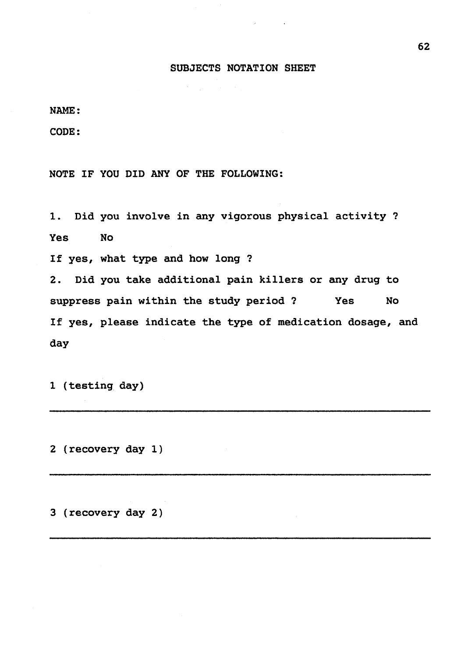### SUBJECTS NOTATION SHEET

NAME:

CODE:

NOTE IF YOU DID ANY OF THE FOLLOWING:

1. Did you involve in any vigorous physical activity? Yes No If yes, what type and how long? 2. Did you take additional pain killers or any drug to suppress pain within the study period? Yes No If yes, please indicate the type of medication dosage, and day

1 (testing day)

2 (recovery day 1)

3 (recovery day 2)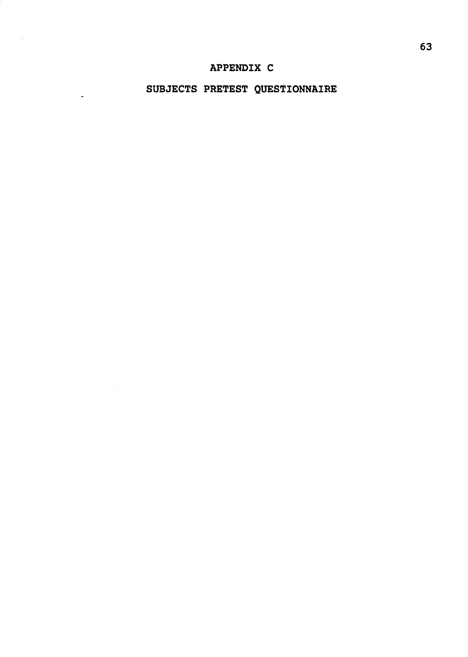## APPENDIX C

## SUBJECTS PRETEST QUESTIONNAIRE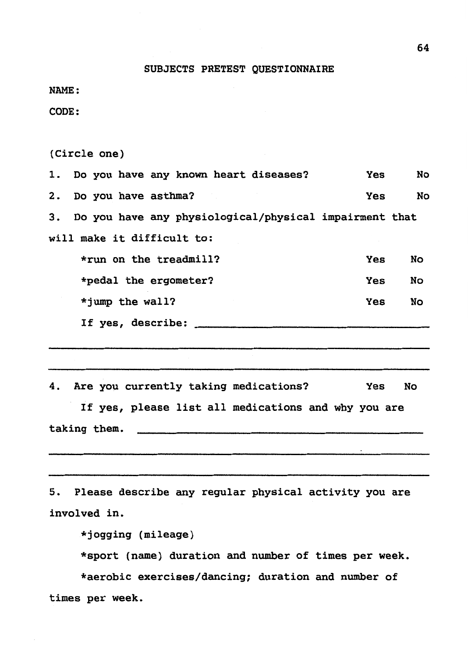#### SUBJECTS PRETEST QUESTIONNAIRE

NAME:

CODE:

(Circle one)

1. Do you have any known heart diseases? Yes No 2. Do you have asthma? The contract of the Yes No 3. Do you have any physiological/physical impairment that will make it difficult to: \*run on the treadmill? \*pedal the ergometer? \*jump the wall? If yes, describe: Yes Yes Yes No No No 4. Are you currently taking medications? Yes No If yes, please list all medications and why you are taking them.

S. Please describe any regular physical activity you are involved in.

\*jogging (mileage)

\*sport (name) duration and number of times per week.

\*aerobic exercises/dancing; duration and number of times per week.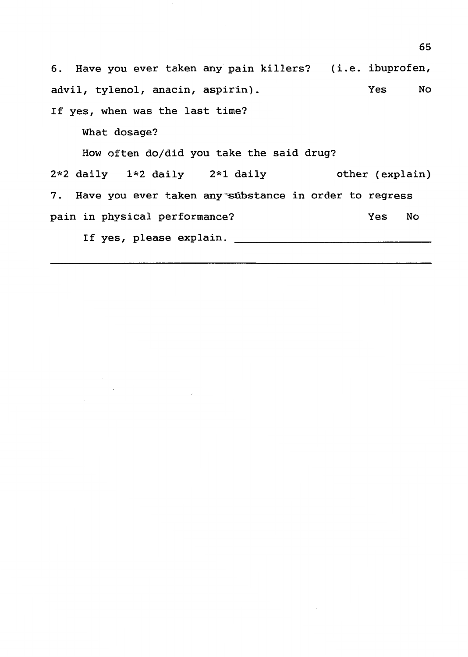6. Have you ever taken any pain killers? (i.e. ibuprofen, advil, tylenol, anacin, aspirin). If yes, when was the last time? What dosage? Yes No How often do/did you take the said drug? 2\*2 daily 1\*2 daily 2\*1 daily other (explain) 7. Have you ever taken any substance in order to regress pain in physical performance? Yes No If yes, please explain.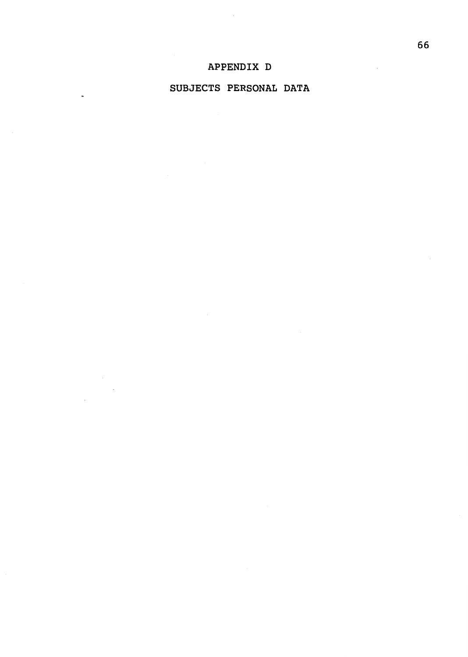# APPENDIX D

### SUBJECTS PERSONAL DATA

 $\overline{a}$ 

 $\overline{\phantom{a}}$ 

 $\overline{\phantom{a}}$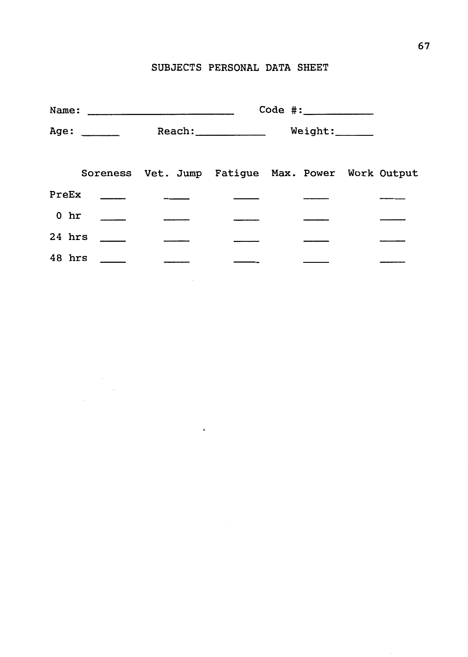# SUBJECTS PERSONAL DATA SHEET

|                |      |                                                   | $Code$ $\#:\_\_\_\_\_\_\_\_\_\_\_\_\_\_\_\_\_\_\_\_\_\_\_\_\_\_$ |  |  |  |  |
|----------------|------|---------------------------------------------------|------------------------------------------------------------------|--|--|--|--|
|                | Age: |                                                   | Reach: Weight:                                                   |  |  |  |  |
|                |      | Soreness Vet. Jump Fatigue Max. Power Work Output |                                                                  |  |  |  |  |
|                |      |                                                   |                                                                  |  |  |  |  |
| $0 \text{ hr}$ |      |                                                   |                                                                  |  |  |  |  |
| $24$ hrs       |      |                                                   |                                                                  |  |  |  |  |
| 48 hrs _____   |      |                                                   |                                                                  |  |  |  |  |
|                |      |                                                   |                                                                  |  |  |  |  |

 $\ddot{\phantom{a}}$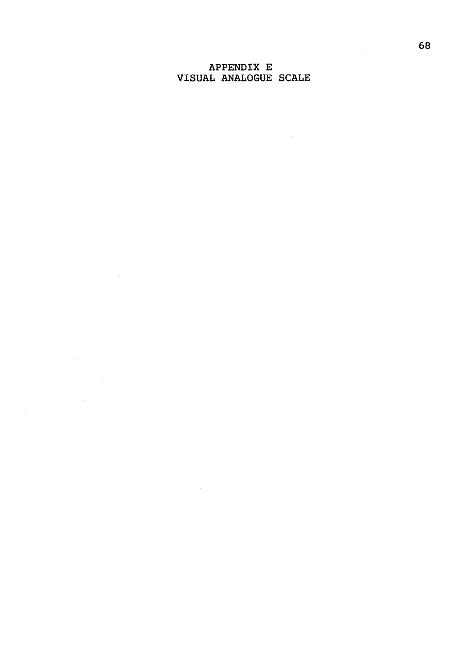### APPENDIX E VISUAL ANALOGUE SCALE

 $\label{eq:2.1} \frac{1}{\sqrt{2}}\left(\frac{1}{\sqrt{2}}\right)^{2} \left(\frac{1}{\sqrt{2}}\right)^{2} \left(\frac{1}{\sqrt{2}}\right)^{2} \left(\frac{1}{\sqrt{2}}\right)^{2} \left(\frac{1}{\sqrt{2}}\right)^{2} \left(\frac{1}{\sqrt{2}}\right)^{2} \left(\frac{1}{\sqrt{2}}\right)^{2} \left(\frac{1}{\sqrt{2}}\right)^{2} \left(\frac{1}{\sqrt{2}}\right)^{2} \left(\frac{1}{\sqrt{2}}\right)^{2} \left(\frac{1}{\sqrt{2}}\right)^{2} \left(\$ 

 $\label{eq:2.1} \begin{split} \frac{1}{\sqrt{2}}\left(\frac{1}{\sqrt{2}}\right)^2\frac{1}{\sqrt{2}}\left(\frac{1}{\sqrt{2}}\right)^2\frac{1}{\sqrt{2}}\left(\frac{1}{\sqrt{2}}\right)^2\frac{1}{\sqrt{2}}\left(\frac{1}{\sqrt{2}}\right)^2\frac{1}{\sqrt{2}}\left(\frac{1}{\sqrt{2}}\right)^2\frac{1}{\sqrt{2}}\left(\frac{1}{\sqrt{2}}\right)^2\frac{1}{\sqrt{2}}\frac{1}{\sqrt{2}}\frac{1}{\sqrt{2}}\frac{1}{\sqrt{2}}\frac{1}{\sqrt{2}}$ 

 $\sim 10$ 

 $\mathcal{L}^{\text{max}}_{\text{max}}$  , where  $\mathcal{L}^{\text{max}}_{\text{max}}$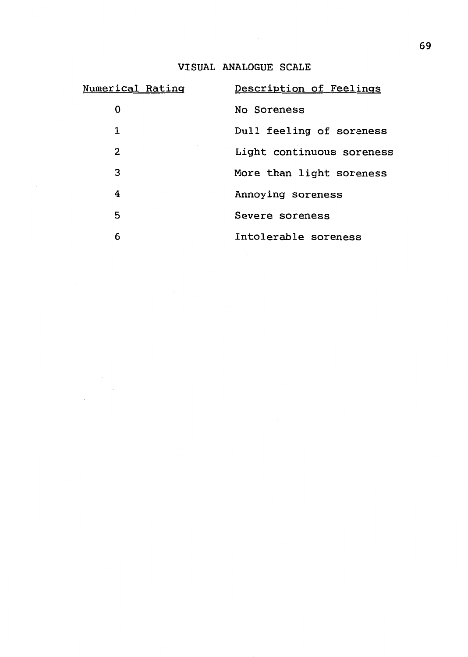# VISUAL ANALOGUE SCALE

| <u>Numerical Ratinq</u> | Description of Feelings   |
|-------------------------|---------------------------|
| 0                       | No Soreness               |
| 1                       | Dull feeling of soreness  |
| 2                       | Light continuous soreness |
| 3                       | More than light soreness  |
| 4                       | Annoying soreness         |
| 5                       | Severe soreness           |
| 6                       | Intolerable soreness      |

 $\frac{1}{\sqrt{2}}\sum_{i=1}^{n} \frac{1}{\sqrt{2}}\left(\frac{1}{\sqrt{2}}\right)^2$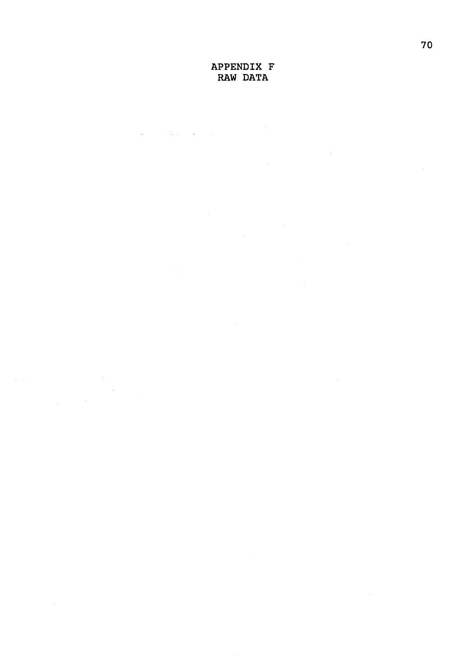### APPENDIX F RAW DATA

 $\sim$ 

 $\mathcal{L}^{\mathcal{L}}$  and  $\mathcal{L}^{\mathcal{L}}$  are the following the contribution of  $\mathcal{L}^{\mathcal{L}}$ 

 $\sim$   $\sim$  $\sim$   $\sim$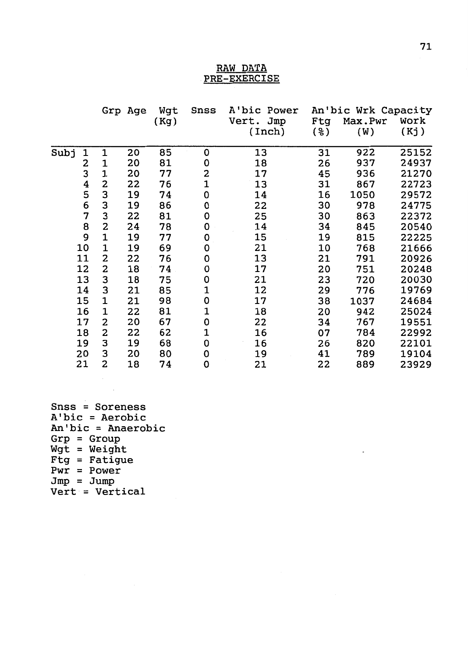#### RAW DATA PRE-EXERCISE

|      |    |             | Grp Age | Wgt  | Snss        | A'bic Power  | An'bic Wrk Capacity |         |       |
|------|----|-------------|---------|------|-------------|--------------|---------------------|---------|-------|
|      |    |             |         | (Kg) |             | Jmp<br>Vert. | Ftg                 | Max.Pwr | Work  |
|      |    |             |         |      |             | (Inch)       | ( දි )              | (W)     | (Kj)  |
| Subj | 1  | $\mathbf 1$ | 20      | 85   | 0           | 13           | 31                  | 922     | 25152 |
|      | 2  | 1           | 20      | 81   | 0           | 18           | 26                  | 937     | 24937 |
|      | 3  | $\mathbf 1$ | 20      | 77   | 2           | 17           | 45                  | 936     | 21270 |
|      | 4  | 2           | 22      | 76   | $\mathbf 1$ | 13           | 31                  | 867     | 22723 |
|      | 5  | 3           |         |      |             | 14           | 16                  | 1050    | 29572 |
|      |    |             | 19      | 74   | 0           |              |                     | 978     | 24775 |
|      | 6  | 3           | 19      | 86   | 0           | 22           | 30                  |         |       |
|      | 7  | 3           | 22      | 81   | 0           | 25           | 30                  | 863     | 22372 |
|      | 8  | 2           | 24      | 78   | 0           | 14           | 34                  | 845     | 20540 |
|      | 9  | $\mathbf 1$ | 19      | 77   | 0           | 15           | 19                  | 815     | 22225 |
|      | 10 | 1           | 19      | 69   | 0           | 21           | 10                  | 768     | 21666 |
|      | 11 | 2           | 22      | 76   | 0           | 13           | 21                  | 791     | 20926 |
|      | 12 | 2           | 18      | 74   | 0           | 17           | 20                  | 751     | 20248 |
|      | 13 | 3           | 18      | 75   | 0           | 21           | 23                  | 720     | 20030 |
|      | 14 | 3           | 21      | 85   | 1           | 12           | 29                  | 776     | 19769 |
|      | 15 | 1           | 21      | 98   | 0           | 17           | 38                  | 1037    | 24684 |
|      | 16 | 1           | 22      | 81   | 1           | 18           | 20                  | 942     | 25024 |
|      | 17 | 2           | 20      | 67   | 0           | 22           | 34                  | 767     | 19551 |
|      | 18 | 2           | 22      | 62   | 1           | 16           | 07                  | 784     | 22992 |
|      | 19 | 3           | 19      | 68   | 0           | 16           | 26                  | 820     | 22101 |
|      | 20 | 3           | 20      | 80   | 0           | 19           | 41                  | 789     | 19104 |
|      | 21 | 2           | 18      | 74   | 0           | 21           | 22                  | 889     | 23929 |
|      |    |             |         |      |             |              |                     |         |       |

Snss = Soreness A'bic = Aerobic An'bic = Anaerobic Grp = Group  $Wgt = Weight$  $Fig = Fat\bar{i}$ gue  $Pwr = Power$  $Jmp = Jump$ Vert = Vertical

 $\label{eq:2} \begin{split} \mathcal{L}_{\text{max}}(\mathbf{r}) = \mathcal{L}_{\text{max}}(\mathbf{r}) \,, \end{split}$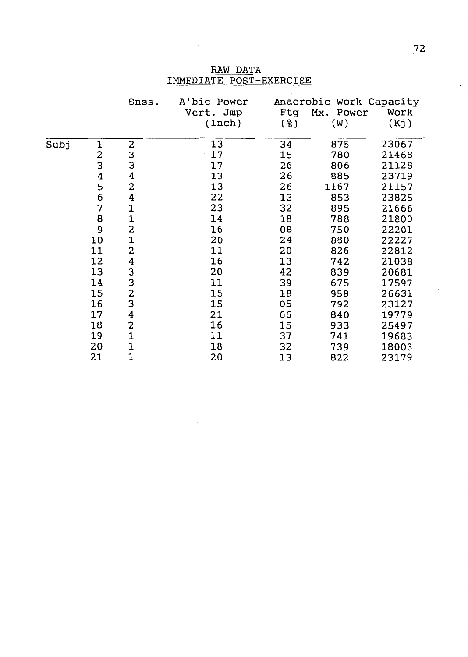|      |       | Snss.                   | A'bic Power |     | Anaerobic Work Capacity |       |
|------|-------|-------------------------|-------------|-----|-------------------------|-------|
|      |       |                         | Vert. Jmp   | Ftg | Mx. Power               | Work  |
|      |       |                         | (Inch)      | (응) | (W)                     | (Kj)  |
| Subj | 1     | 2                       | 13          | 34  | 875                     | 23067 |
|      |       |                         | 17          | 15  | 780                     | 21468 |
|      |       | 3<br>3                  | 17          | 26  | 806                     | 21128 |
|      |       | $\bf{4}$                | 13          | 26  | 885                     | 23719 |
|      | 23456 | $\overline{\mathbf{2}}$ | 13          | 26  | 1167                    | 21157 |
|      |       | 4                       | 22          | 13  | 853                     | 23825 |
|      | 7     | $\mathbf 1$             | 23          | 32  | 895                     | 21666 |
|      | 8     | $\mathbf 1$             | 14          | 18  | 788                     | 21800 |
|      | 9     | $\overline{\mathbf{c}}$ | 16          | 08  | 750                     | 22201 |
|      | 10    | $\mathbf{1}$            | 20          | 24  | 880                     | 22227 |
|      | 11    | $\overline{\mathbf{2}}$ | 11          | 20  | 826                     | 22812 |
|      | 12    | 4                       | 16          | 13  | 742                     | 21038 |
|      | 13    | 3                       | 20          | 42  | 839                     | 20681 |
|      | 14    | 3                       | 11          | 39  | 675                     | 17597 |
|      | 15    | $\overline{\mathbf{c}}$ | 15          | 18  | 958                     | 26631 |
|      | 16    | 3                       | 15          | 05  | 792                     | 23127 |
|      | 17    | $\boldsymbol{4}$        | 21          | 66  | 840                     | 19779 |
|      | 18    | 2                       | 16          | 15  | 933                     | 25497 |
|      | 19    | $\mathbf 1$             | 11          | 37  | 741                     | 19683 |
|      | 20    | $\mathbf{1}$            | 18          | 32  | 739                     | 18003 |
|      | 21    | $\mathbf 1$             | 20          | 13  | 822                     | 23179 |

RAW DATA IMMEDIATE POST-EXERCISE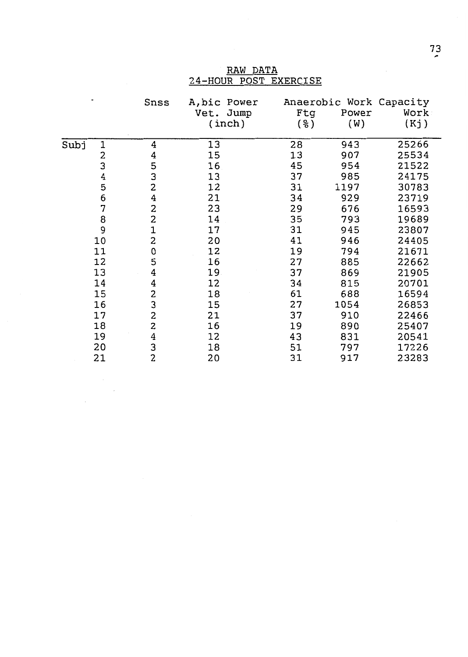|                                                     | Snss                    | A, bic Power<br>Vet. Jump<br>(inch) | Ftg<br>( % ) | Power<br>(W) | Anaerobic Work Capacity<br>Work<br>(Kj) |
|-----------------------------------------------------|-------------------------|-------------------------------------|--------------|--------------|-----------------------------------------|
| Subj<br>1                                           | 4                       | 13                                  | 28           | 943          | 25266                                   |
|                                                     | 4                       | 15                                  | 13           | 907          | 25534                                   |
|                                                     |                         | 16                                  | 45           | 954          | 21522                                   |
|                                                     | 5<br>3<br>2             | 13                                  | 37           | 985          | 24175                                   |
| $\begin{array}{c}\n 2 \\ 3 \\ 4 \\ 5\n \end{array}$ |                         | 12                                  | 31           | 1197         | 30783                                   |
|                                                     | 4                       | 21                                  | 34           | 929          | 23719                                   |
| $\frac{6}{7}$                                       |                         | 23                                  | 29           | 676          | 16593                                   |
| 8                                                   | $\frac{2}{2}$           | 14                                  | 35           | 793          | 19689                                   |
| 9                                                   |                         | 17                                  | 31           | 945          | 23807                                   |
| 10                                                  | $\frac{1}{2}$           | 20                                  | 41           | 946          | 24405                                   |
| 11                                                  | 0                       | 12                                  | 19           | 794          | 21671                                   |
| 12                                                  | 5                       | 16                                  | 27           | 885          | 22662                                   |
| 13                                                  | 4                       | 19                                  | 37           | 869          | 21905                                   |
| 14                                                  | 4                       | 12                                  | 34           | 815          | 20701                                   |
| 15                                                  |                         | 18                                  | 61           | 688          | 16594                                   |
| 16                                                  | $\frac{2}{3}$           | 15                                  | 27           | 1054         | 26853                                   |
| 17                                                  | 2                       | 21                                  | 37           | 910          | 22466                                   |
| 18                                                  | $\overline{\mathbf{c}}$ | 16                                  | 19           | 890          | 25407                                   |
| 19                                                  |                         | 12                                  | 43           | 831          | 20541                                   |
| 20                                                  | $\frac{4}{3}$           | 18                                  | 51           | 797          | 17226                                   |
|                                                     |                         |                                     |              |              |                                         |

21 2 20 31 917 23283

 $\frac{1}{\sqrt{2}}\sum_{i=1}^{n} \frac{1}{i} \sum_{j=1}^{n} \frac{1}{j} \sum_{j=1}^{n} \frac{1}{j} \sum_{j=1}^{n} \frac{1}{j} \sum_{j=1}^{n} \frac{1}{j} \sum_{j=1}^{n} \frac{1}{j} \sum_{j=1}^{n} \frac{1}{j} \sum_{j=1}^{n} \frac{1}{j} \sum_{j=1}^{n} \frac{1}{j} \sum_{j=1}^{n} \frac{1}{j} \sum_{j=1}^{n} \frac{1}{j} \sum_{j=1}^{n} \frac{1}{j} \sum_{j=1$ 

RAW DATA 24-HOUR POST EXERCISE